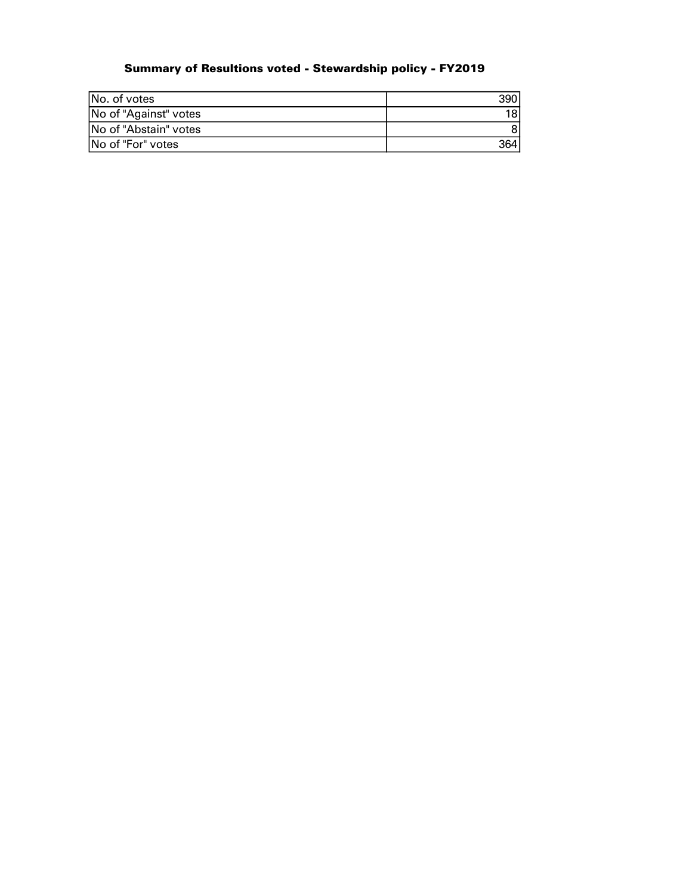# Summary of Resultions voted - Stewardship policy - FY2019

| INo. of votes         |  |
|-----------------------|--|
| No of "Against" votes |  |
| No of "Abstain" votes |  |
| No of "For" votes     |  |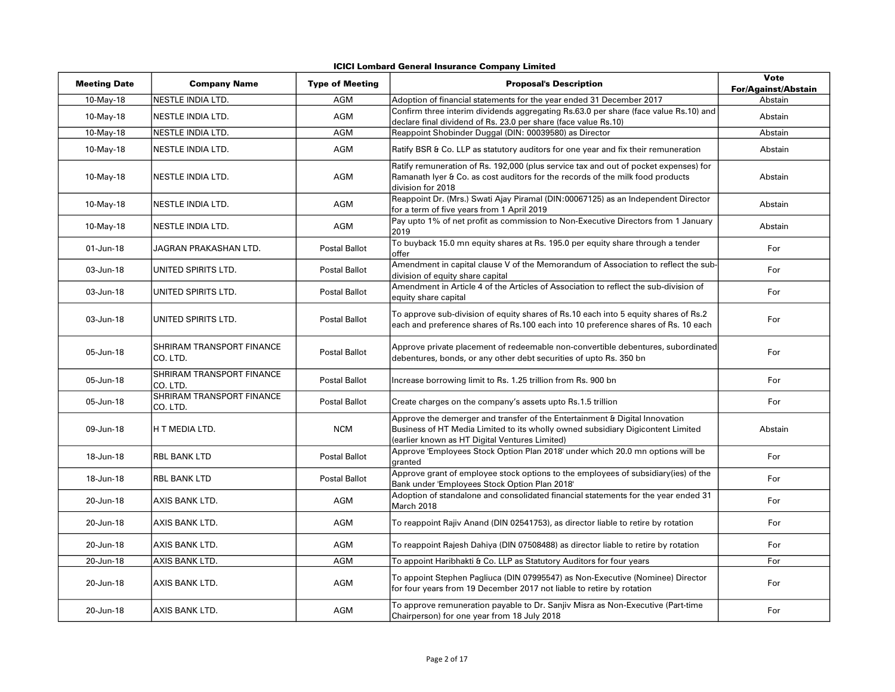| ICICI Lombard General Insurance Company Limited |  |  |  |  |
|-------------------------------------------------|--|--|--|--|
|-------------------------------------------------|--|--|--|--|

| <b>Meeting Date</b> | <b>Company Name</b>                   | <b>Type of Meeting</b> | <b>Proposal's Description</b>                                                                                                                                                                                    | <b>Vote</b><br><b>For/Against/Abstain</b> |
|---------------------|---------------------------------------|------------------------|------------------------------------------------------------------------------------------------------------------------------------------------------------------------------------------------------------------|-------------------------------------------|
| 10-May-18           | NESTLE INDIA LTD.                     | AGM                    | Adoption of financial statements for the year ended 31 December 2017                                                                                                                                             | Abstain                                   |
| 10-May-18           | NESTLE INDIA LTD.                     | AGM                    | Confirm three interim dividends aggregating Rs.63.0 per share (face value Rs.10) and<br>declare final dividend of Rs. 23.0 per share (face value Rs.10)                                                          | Abstain                                   |
| 10-May-18           | NESTLE INDIA LTD.                     | <b>AGM</b>             | Reappoint Shobinder Duggal (DIN: 00039580) as Director                                                                                                                                                           | Abstain                                   |
| 10-May-18           | NESTLE INDIA LTD.                     | AGM                    | Ratify BSR & Co. LLP as statutory auditors for one year and fix their remuneration                                                                                                                               | Abstain                                   |
| 10-May-18           | NESTLE INDIA LTD.                     | AGM                    | Ratify remuneration of Rs. 192,000 (plus service tax and out of pocket expenses) for<br>Ramanath Iyer & Co. as cost auditors for the records of the milk food products<br>division for 2018                      | Abstain                                   |
| 10-May-18           | NESTLE INDIA LTD.                     | AGM                    | Reappoint Dr. (Mrs.) Swati Ajay Piramal (DIN:00067125) as an Independent Director<br>for a term of five years from 1 April 2019                                                                                  | Abstain                                   |
| 10-May-18           | NESTLE INDIA LTD.                     | AGM                    | Pay upto 1% of net profit as commission to Non-Executive Directors from 1 January<br>2019                                                                                                                        | Abstain                                   |
| 01-Jun-18           | JAGRAN PRAKASHAN LTD.                 | <b>Postal Ballot</b>   | To buyback 15.0 mn equity shares at Rs. 195.0 per equity share through a tender<br>offer                                                                                                                         | For                                       |
| 03-Jun-18           | UNITED SPIRITS LTD.                   | <b>Postal Ballot</b>   | Amendment in capital clause V of the Memorandum of Association to reflect the sub-<br>division of equity share capital                                                                                           | For                                       |
| 03-Jun-18           | UNITED SPIRITS LTD.                   | <b>Postal Ballot</b>   | Amendment in Article 4 of the Articles of Association to reflect the sub-division of<br>equity share capital                                                                                                     | For                                       |
| 03-Jun-18           | UNITED SPIRITS LTD.                   | <b>Postal Ballot</b>   | To approve sub-division of equity shares of Rs.10 each into 5 equity shares of Rs.2<br>each and preference shares of Rs.100 each into 10 preference shares of Rs. 10 each                                        | For                                       |
| 05-Jun-18           | SHRIRAM TRANSPORT FINANCE<br>CO. LTD. | Postal Ballot          | Approve private placement of redeemable non-convertible debentures, subordinated<br>debentures, bonds, or any other debt securities of upto Rs. 350 bn                                                           | For                                       |
| 05-Jun-18           | SHRIRAM TRANSPORT FINANCE<br>CO. LTD. | Postal Ballot          | Increase borrowing limit to Rs. 1.25 trillion from Rs. 900 bn                                                                                                                                                    | For                                       |
| 05-Jun-18           | SHRIRAM TRANSPORT FINANCE<br>CO. LTD. | Postal Ballot          | Create charges on the company's assets upto Rs.1.5 trillion                                                                                                                                                      | For                                       |
| 09-Jun-18           | H T MEDIA LTD.                        | <b>NCM</b>             | Approve the demerger and transfer of the Entertainment & Digital Innovation<br>Business of HT Media Limited to its wholly owned subsidiary Digicontent Limited<br>(earlier known as HT Digital Ventures Limited) | Abstain                                   |
| 18-Jun-18           | <b>RBL BANK LTD</b>                   | <b>Postal Ballot</b>   | Approve 'Employees Stock Option Plan 2018' under which 20.0 mn options will be<br>granted                                                                                                                        | For                                       |
| 18-Jun-18           | RBL BANK LTD                          | <b>Postal Ballot</b>   | Approve grant of employee stock options to the employees of subsidiary(ies) of the<br>Bank under 'Employees Stock Option Plan 2018'                                                                              | For                                       |
| 20-Jun-18           | AXIS BANK LTD.                        | AGM                    | Adoption of standalone and consolidated financial statements for the year ended 31<br>March 2018                                                                                                                 | For                                       |
| 20-Jun-18           | AXIS BANK LTD.                        | AGM                    | To reappoint Rajiv Anand (DIN 02541753), as director liable to retire by rotation                                                                                                                                | For                                       |
| 20-Jun-18           | AXIS BANK LTD.                        | AGM                    | To reappoint Rajesh Dahiya (DIN 07508488) as director liable to retire by rotation                                                                                                                               | For                                       |
| 20-Jun-18           | AXIS BANK LTD.                        | <b>AGM</b>             | To appoint Haribhakti & Co. LLP as Statutory Auditors for four years                                                                                                                                             | For                                       |
| 20-Jun-18           | AXIS BANK LTD.                        | AGM                    | To appoint Stephen Pagliuca (DIN 07995547) as Non-Executive (Nominee) Director<br>for four years from 19 December 2017 not liable to retire by rotation                                                          | For                                       |
| 20-Jun-18           | AXIS BANK LTD.                        | AGM                    | To approve remuneration payable to Dr. Sanjiv Misra as Non-Executive (Part-time<br>Chairperson) for one year from 18 July 2018                                                                                   | For                                       |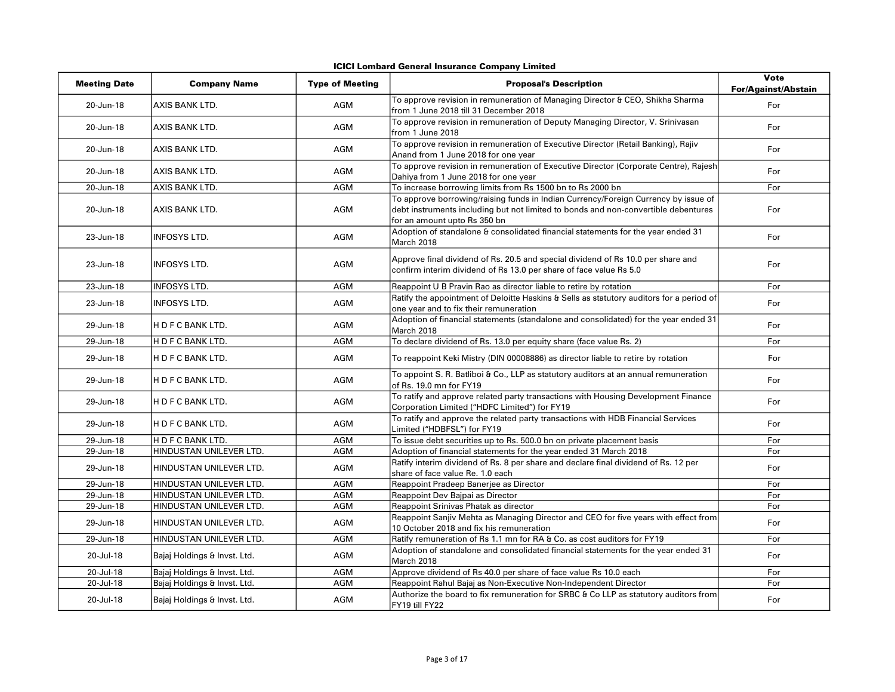|  |  |  | ICICI Lombard General Insurance Company Limited |  |  |
|--|--|--|-------------------------------------------------|--|--|
|--|--|--|-------------------------------------------------|--|--|

| <b>Meeting Date</b> | <b>Company Name</b>          | <b>Type of Meeting</b> | <b>Proposal's Description</b>                                                                                                                                                                            | <b>Vote</b><br><b>For/Against/Abstain</b> |
|---------------------|------------------------------|------------------------|----------------------------------------------------------------------------------------------------------------------------------------------------------------------------------------------------------|-------------------------------------------|
| 20-Jun-18           | AXIS BANK LTD.               | <b>AGM</b>             | To approve revision in remuneration of Managing Director & CEO, Shikha Sharma<br>from 1 June 2018 till 31 December 2018                                                                                  | For                                       |
| 20-Jun-18           | AXIS BANK LTD.               | <b>AGM</b>             | To approve revision in remuneration of Deputy Managing Director, V. Srinivasan<br>from 1 June 2018                                                                                                       | For                                       |
| 20-Jun-18           | AXIS BANK LTD.               | AGM                    | To approve revision in remuneration of Executive Director (Retail Banking), Rajiv<br>Anand from 1 June 2018 for one year                                                                                 | For                                       |
| 20-Jun-18           | AXIS BANK LTD.               | AGM                    | To approve revision in remuneration of Executive Director (Corporate Centre), Rajesh<br>Dahiya from 1 June 2018 for one year                                                                             | For                                       |
| 20-Jun-18           | AXIS BANK LTD.               | AGM                    | To increase borrowing limits from Rs 1500 bn to Rs 2000 bn                                                                                                                                               | For                                       |
| 20-Jun-18           | AXIS BANK LTD.               | AGM                    | To approve borrowing/raising funds in Indian Currency/Foreign Currency by issue of<br>debt instruments including but not limited to bonds and non-convertible debentures<br>for an amount upto Rs 350 bn | For                                       |
| 23-Jun-18           | <b>INFOSYS LTD.</b>          | AGM                    | Adoption of standalone & consolidated financial statements for the year ended 31<br>March 2018                                                                                                           | For                                       |
| 23-Jun-18           | <b>INFOSYS LTD.</b>          | AGM                    | Approve final dividend of Rs. 20.5 and special dividend of Rs 10.0 per share and<br>confirm interim dividend of Rs 13.0 per share of face value Rs 5.0                                                   | For                                       |
| 23-Jun-18           | <b>INFOSYS LTD.</b>          | AGM                    | Reappoint U B Pravin Rao as director liable to retire by rotation                                                                                                                                        | For                                       |
| 23-Jun-18           | <b>INFOSYS LTD.</b>          | AGM                    | Ratify the appointment of Deloitte Haskins & Sells as statutory auditors for a period of<br>one year and to fix their remuneration                                                                       | For                                       |
| 29-Jun-18           | H D F C BANK LTD.            | AGM                    | Adoption of financial statements (standalone and consolidated) for the year ended 31<br>March 2018                                                                                                       | For                                       |
| 29-Jun-18           | H D F C BANK LTD.            | AGM                    | To declare dividend of Rs. 13.0 per equity share (face value Rs. 2)                                                                                                                                      | For                                       |
| 29-Jun-18           | IH D F C BANK LTD.           | <b>AGM</b>             | To reappoint Keki Mistry (DIN 00008886) as director liable to retire by rotation                                                                                                                         | For                                       |
| 29-Jun-18           | IH D F C BANK LTD.           | <b>AGM</b>             | To appoint S. R. Batliboi & Co., LLP as statutory auditors at an annual remuneration<br>of Rs. 19.0 mn for FY19                                                                                          | For                                       |
| 29-Jun-18           | H D F C BANK LTD.            | AGM                    | To ratify and approve related party transactions with Housing Development Finance<br>Corporation Limited ("HDFC Limited") for FY19                                                                       | For                                       |
| 29-Jun-18           | H D F C BANK LTD.            | AGM                    | To ratify and approve the related party transactions with HDB Financial Services<br>Limited ("HDBFSL") for FY19                                                                                          | For                                       |
| 29-Jun-18           | H D F C BANK LTD.            | AGM                    | To issue debt securities up to Rs. 500.0 bn on private placement basis                                                                                                                                   | For                                       |
| 29-Jun-18           | HINDUSTAN UNILEVER LTD.      | <b>AGM</b>             | Adoption of financial statements for the year ended 31 March 2018                                                                                                                                        | For                                       |
| 29-Jun-18           | HINDUSTAN UNILEVER LTD.      | <b>AGM</b>             | Ratify interim dividend of Rs. 8 per share and declare final dividend of Rs. 12 per<br>share of face value Re. 1.0 each                                                                                  | For                                       |
| 29-Jun-18           | HINDUSTAN UNILEVER LTD.      | <b>AGM</b>             | Reappoint Pradeep Banerjee as Director                                                                                                                                                                   | For                                       |
| 29-Jun-18           | HINDUSTAN UNILEVER LTD.      | AGM                    | Reappoint Dev Bajpai as Director                                                                                                                                                                         | For                                       |
| 29-Jun-18           | HINDUSTAN UNILEVER LTD.      | <b>AGM</b>             | Reappoint Srinivas Phatak as director                                                                                                                                                                    | For                                       |
| 29-Jun-18           | HINDUSTAN UNILEVER LTD.      | AGM                    | Reappoint Sanjiv Mehta as Managing Director and CEO for five years with effect from<br>10 October 2018 and fix his remuneration                                                                          | For                                       |
| 29-Jun-18           | HINDUSTAN UNILEVER LTD.      | AGM                    | Ratify remuneration of Rs 1.1 mn for RA & Co. as cost auditors for FY19                                                                                                                                  | For                                       |
| 20-Jul-18           | Bajaj Holdings & Invst. Ltd. | AGM                    | Adoption of standalone and consolidated financial statements for the year ended 31<br>March 2018                                                                                                         | For                                       |
| 20-Jul-18           | Bajaj Holdings & Invst. Ltd. | AGM                    | Approve dividend of Rs 40.0 per share of face value Rs 10.0 each                                                                                                                                         | For                                       |
| 20-Jul-18           | Bajaj Holdings & Invst. Ltd. | <b>AGM</b>             | Reappoint Rahul Bajaj as Non-Executive Non-Independent Director                                                                                                                                          | For                                       |
| 20-Jul-18           | Bajaj Holdings & Invst. Ltd. | AGM                    | Authorize the board to fix remuneration for SRBC & Co LLP as statutory auditors from<br>FY19 till FY22                                                                                                   | For                                       |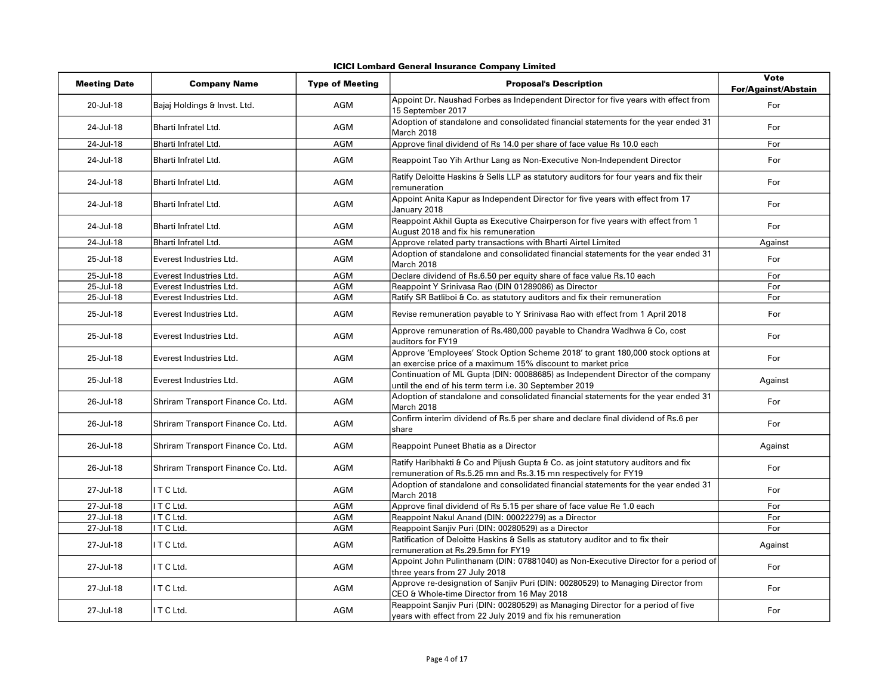|  |  |  | ICICI Lombard General Insurance Company Limited |  |  |
|--|--|--|-------------------------------------------------|--|--|
|--|--|--|-------------------------------------------------|--|--|

| <b>Meeting Date</b> | <b>Company Name</b>                | <b>Type of Meeting</b> | <b>Proposal's Description</b>                                                                                                                        | <b>Vote</b><br>For/Against/Abstain |
|---------------------|------------------------------------|------------------------|------------------------------------------------------------------------------------------------------------------------------------------------------|------------------------------------|
| 20-Jul-18           | Bajaj Holdings & Invst. Ltd.       | AGM                    | Appoint Dr. Naushad Forbes as Independent Director for five years with effect from<br>15 September 2017                                              | For                                |
| 24-Jul-18           | Bharti Infratel Ltd.               | AGM                    | Adoption of standalone and consolidated financial statements for the year ended 31<br>March 2018                                                     | For                                |
| 24-Jul-18           | Bharti Infratel Ltd.               | <b>AGM</b>             | Approve final dividend of Rs 14.0 per share of face value Rs 10.0 each                                                                               | For                                |
| 24-Jul-18           | Bharti Infratel Ltd.               | AGM                    | Reappoint Tao Yih Arthur Lang as Non-Executive Non-Independent Director                                                                              | For                                |
| 24-Jul-18           | Bharti Infratel Ltd.               | AGM                    | Ratify Deloitte Haskins & Sells LLP as statutory auditors for four years and fix their<br>remuneration                                               | For                                |
| 24-Jul-18           | Bharti Infratel Ltd.               | AGM                    | Appoint Anita Kapur as Independent Director for five years with effect from 17<br>January 2018                                                       | For                                |
| 24-Jul-18           | Bharti Infratel Ltd.               | <b>AGM</b>             | Reappoint Akhil Gupta as Executive Chairperson for five years with effect from 1<br>August 2018 and fix his remuneration                             | For                                |
| 24-Jul-18           | Bharti Infratel Ltd.               | <b>AGM</b>             | Approve related party transactions with Bharti Airtel Limited                                                                                        | Against                            |
| 25-Jul-18           | Everest Industries Ltd.            | AGM                    | Adoption of standalone and consolidated financial statements for the year ended 31<br>March 2018                                                     | For                                |
| 25-Jul-18           | Everest Industries Ltd.            | AGM                    | Declare dividend of Rs.6.50 per equity share of face value Rs.10 each                                                                                | For                                |
| 25-Jul-18           | Everest Industries Ltd.            | <b>AGM</b>             | Reappoint Y Srinivasa Rao (DIN 01289086) as Director                                                                                                 | For                                |
| 25-Jul-18           | Everest Industries Ltd.            | <b>AGM</b>             | Ratify SR Batliboi & Co. as statutory auditors and fix their remuneration                                                                            | For                                |
| 25-Jul-18           | Everest Industries Ltd.            | AGM                    | Revise remuneration payable to Y Srinivasa Rao with effect from 1 April 2018                                                                         | For                                |
| 25-Jul-18           | Everest Industries Ltd.            | AGM                    | Approve remuneration of Rs.480,000 payable to Chandra Wadhwa & Co, cost<br>auditors for FY19                                                         | For                                |
| 25-Jul-18           | Everest Industries Ltd.            | AGM                    | Approve 'Employees' Stock Option Scheme 2018' to grant 180,000 stock options at<br>an exercise price of a maximum 15% discount to market price       | For                                |
| 25-Jul-18           | Everest Industries Ltd.            | AGM                    | Continuation of ML Gupta (DIN: 00088685) as Independent Director of the company<br>until the end of his term term i.e. 30 September 2019             | Against                            |
| 26-Jul-18           | Shriram Transport Finance Co. Ltd. | AGM                    | Adoption of standalone and consolidated financial statements for the year ended 31<br>March 2018                                                     | For                                |
| 26-Jul-18           | Shriram Transport Finance Co. Ltd. | AGM                    | Confirm interim dividend of Rs.5 per share and declare final dividend of Rs.6 per<br>share                                                           | For                                |
| 26-Jul-18           | Shriram Transport Finance Co. Ltd. | AGM                    | Reappoint Puneet Bhatia as a Director                                                                                                                | Against                            |
| 26-Jul-18           | Shriram Transport Finance Co. Ltd. | AGM                    | Ratify Haribhakti & Co and Pijush Gupta & Co. as joint statutory auditors and fix<br>remuneration of Rs.5.25 mn and Rs.3.15 mn respectively for FY19 | For                                |
| 27-Jul-18           | ITCLtd.                            | AGM                    | Adoption of standalone and consolidated financial statements for the year ended 31<br>March 2018                                                     | For                                |
| 27-Jul-18           | I T C Ltd.                         | <b>AGM</b>             | Approve final dividend of Rs 5.15 per share of face value Re 1.0 each                                                                                | For                                |
| 27-Jul-18           | I T C Ltd.                         | <b>AGM</b>             | Reappoint Nakul Anand (DIN: 00022279) as a Director                                                                                                  | For                                |
| 27-Jul-18           | ITCLtd.                            | <b>AGM</b>             | Reappoint Sanjiv Puri (DIN: 00280529) as a Director                                                                                                  | For                                |
| 27-Jul-18           | ITCLtd.                            | AGM                    | Ratification of Deloitte Haskins & Sells as statutory auditor and to fix their<br>remuneration at Rs.29.5mn for FY19                                 | Against                            |
| 27-Jul-18           | ITCLtd.                            | AGM                    | Appoint John Pulinthanam (DIN: 07881040) as Non-Executive Director for a period of<br>three years from 27 July 2018                                  | For                                |
| 27-Jul-18           | ITCLtd.                            | AGM                    | Approve re-designation of Sanjiv Puri (DIN: 00280529) to Managing Director from<br>CEO & Whole-time Director from 16 May 2018                        | For                                |
| 27-Jul-18           | ITCLtd.                            | AGM                    | Reappoint Sanjiv Puri (DIN: 00280529) as Managing Director for a period of five<br>years with effect from 22 July 2019 and fix his remuneration      | For                                |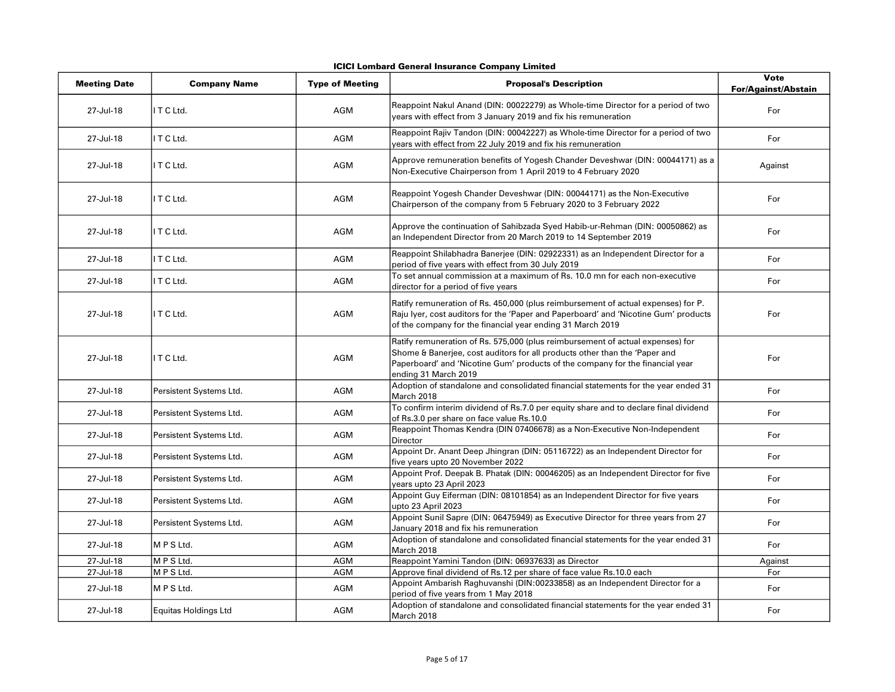|  |  |  | ICICI Lombard General Insurance Company Limited |  |  |
|--|--|--|-------------------------------------------------|--|--|
|--|--|--|-------------------------------------------------|--|--|

| <b>Meeting Date</b> | <b>Company Name</b>         | <b>Type of Meeting</b> | <b>Proposal's Description</b>                                                                                                                                                                                                                                         | Vote<br><b>For/Against/Abstain</b> |
|---------------------|-----------------------------|------------------------|-----------------------------------------------------------------------------------------------------------------------------------------------------------------------------------------------------------------------------------------------------------------------|------------------------------------|
| 27-Jul-18           | ITCLtd.                     | AGM                    | Reappoint Nakul Anand (DIN: 00022279) as Whole-time Director for a period of two<br>years with effect from 3 January 2019 and fix his remuneration                                                                                                                    | For                                |
| 27-Jul-18           | ITCLtd.                     | AGM                    | Reappoint Rajiv Tandon (DIN: 00042227) as Whole-time Director for a period of two<br>years with effect from 22 July 2019 and fix his remuneration                                                                                                                     | For                                |
| 27-Jul-18           | ITCLtd.                     | AGM                    | Approve remuneration benefits of Yogesh Chander Deveshwar (DIN: 00044171) as a<br>Non-Executive Chairperson from 1 April 2019 to 4 February 2020                                                                                                                      | Against                            |
| 27-Jul-18           | I T C Ltd.                  | AGM                    | Reappoint Yogesh Chander Deveshwar (DIN: 00044171) as the Non-Executive<br>Chairperson of the company from 5 February 2020 to 3 February 2022                                                                                                                         | For                                |
| 27-Jul-18           | ITCLtd.                     | <b>AGM</b>             | Approve the continuation of Sahibzada Syed Habib-ur-Rehman (DIN: 00050862) as<br>an Independent Director from 20 March 2019 to 14 September 2019                                                                                                                      | For                                |
| 27-Jul-18           | ITCLtd.                     | AGM                    | Reappoint Shilabhadra Banerjee (DIN: 02922331) as an Independent Director for a<br>period of five years with effect from 30 July 2019                                                                                                                                 | For                                |
| 27-Jul-18           | ITCLtd.                     | AGM                    | To set annual commission at a maximum of Rs. 10.0 mn for each non-executive<br>director for a period of five years                                                                                                                                                    | For                                |
| 27-Jul-18           | ITCLtd.                     | <b>AGM</b>             | Ratify remuneration of Rs. 450,000 (plus reimbursement of actual expenses) for P.<br>Raju Iyer, cost auditors for the 'Paper and Paperboard' and 'Nicotine Gum' products<br>of the company for the financial year ending 31 March 2019                                | For                                |
| 27-Jul-18           | ITCLtd.                     | AGM                    | Ratify remuneration of Rs. 575,000 (plus reimbursement of actual expenses) for<br>Shome & Banerjee, cost auditors for all products other than the 'Paper and<br>Paperboard' and 'Nicotine Gum' products of the company for the financial year<br>ending 31 March 2019 | For                                |
| 27-Jul-18           | Persistent Systems Ltd.     | AGM                    | Adoption of standalone and consolidated financial statements for the year ended 31<br>March 2018                                                                                                                                                                      | For                                |
| 27-Jul-18           | Persistent Systems Ltd.     | AGM                    | To confirm interim dividend of Rs.7.0 per equity share and to declare final dividend<br>of Rs.3.0 per share on face value Rs.10.0                                                                                                                                     | For                                |
| 27-Jul-18           | Persistent Systems Ltd.     | AGM                    | Reappoint Thomas Kendra (DIN 07406678) as a Non-Executive Non-Independent<br>Director                                                                                                                                                                                 | For                                |
| 27-Jul-18           | Persistent Systems Ltd.     | AGM                    | Appoint Dr. Anant Deep Jhingran (DIN: 05116722) as an Independent Director for<br>five years upto 20 November 2022                                                                                                                                                    | For                                |
| 27-Jul-18           | Persistent Systems Ltd.     | AGM                    | Appoint Prof. Deepak B. Phatak (DIN: 00046205) as an Independent Director for five<br>years upto 23 April 2023                                                                                                                                                        | For                                |
| 27-Jul-18           | Persistent Systems Ltd.     | AGM                    | Appoint Guy Eiferman (DIN: 08101854) as an Independent Director for five years<br>upto 23 April 2023                                                                                                                                                                  | For                                |
| 27-Jul-18           | Persistent Systems Ltd.     | AGM                    | Appoint Sunil Sapre (DIN: 06475949) as Executive Director for three years from 27<br>January 2018 and fix his remuneration                                                                                                                                            | For                                |
| 27-Jul-18           | MPS Ltd.                    | AGM                    | Adoption of standalone and consolidated financial statements for the year ended 31<br>March 2018                                                                                                                                                                      | For                                |
| 27-Jul-18           | M P S Ltd.                  | <b>AGM</b>             | Reappoint Yamini Tandon (DIN: 06937633) as Director                                                                                                                                                                                                                   | Against                            |
| 27-Jul-18           | MPSLtd.                     | AGM                    | Approve final dividend of Rs.12 per share of face value Rs.10.0 each                                                                                                                                                                                                  | For                                |
| 27-Jul-18           | MPS Ltd.                    | AGM                    | Appoint Ambarish Raghuvanshi (DIN:00233858) as an Independent Director for a<br>period of five years from 1 May 2018                                                                                                                                                  | For                                |
| 27-Jul-18           | <b>Equitas Holdings Ltd</b> | AGM                    | Adoption of standalone and consolidated financial statements for the year ended 31<br>March 2018                                                                                                                                                                      | For                                |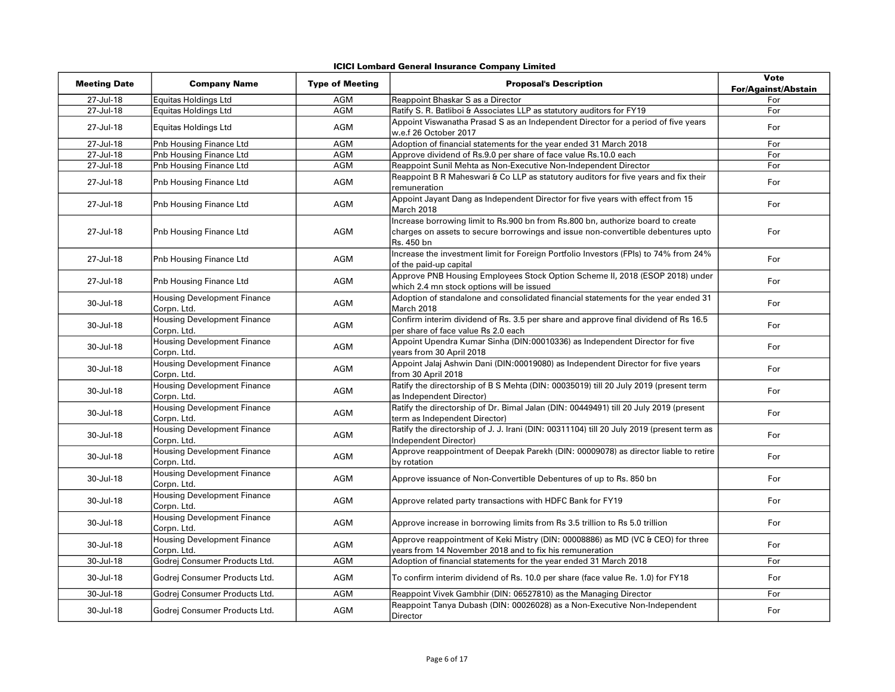| <b>Meeting Date</b> | <b>Company Name</b>                               | <b>Type of Meeting</b> | <b>Proposal's Description</b>                                                                                                                                                     | Vote<br><b>For/Against/Abstain</b> |
|---------------------|---------------------------------------------------|------------------------|-----------------------------------------------------------------------------------------------------------------------------------------------------------------------------------|------------------------------------|
| 27-Jul-18           | Equitas Holdings Ltd                              | AGM                    | Reappoint Bhaskar S as a Director                                                                                                                                                 | For                                |
| 27-Jul-18           | <b>Equitas Holdings Ltd</b>                       | <b>AGM</b>             | Ratify S. R. Batliboi & Associates LLP as statutory auditors for FY19                                                                                                             | For                                |
| 27-Jul-18           | <b>Equitas Holdings Ltd</b>                       | AGM                    | Appoint Viswanatha Prasad S as an Independent Director for a period of five years<br>w.e.f 26 October 2017                                                                        | For                                |
| 27-Jul-18           | Pnb Housing Finance Ltd                           | <b>AGM</b>             | Adoption of financial statements for the year ended 31 March 2018                                                                                                                 | For                                |
| 27-Jul-18           | Pnb Housing Finance Ltd                           | <b>AGM</b>             | Approve dividend of Rs.9.0 per share of face value Rs.10.0 each                                                                                                                   | For                                |
| 27-Jul-18           | Pnb Housing Finance Ltd                           | <b>AGM</b>             | Reappoint Sunil Mehta as Non-Executive Non-Independent Director                                                                                                                   | For                                |
| 27-Jul-18           | Pnb Housing Finance Ltd                           | AGM                    | Reappoint B R Maheswari & Co LLP as statutory auditors for five years and fix their<br>remuneration                                                                               | For                                |
| 27-Jul-18           | Pnb Housing Finance Ltd                           | AGM                    | Appoint Jayant Dang as Independent Director for five years with effect from 15<br>March 2018                                                                                      | For                                |
| 27-Jul-18           | Pnb Housing Finance Ltd                           | AGM                    | Increase borrowing limit to Rs.900 bn from Rs.800 bn, authorize board to create<br>charges on assets to secure borrowings and issue non-convertible debentures upto<br>Rs. 450 bn | For                                |
| 27-Jul-18           | Pnb Housing Finance Ltd                           | <b>AGM</b>             | Increase the investment limit for Foreign Portfolio Investors (FPIs) to 74% from 24%<br>of the paid-up capital                                                                    | For                                |
| 27-Jul-18           | Pnb Housing Finance Ltd                           | <b>AGM</b>             | Approve PNB Housing Employees Stock Option Scheme II, 2018 (ESOP 2018) under<br>which 2.4 mn stock options will be issued                                                         | For                                |
| 30-Jul-18           | <b>Housing Development Finance</b><br>Corpn. Ltd. | <b>AGM</b>             | Adoption of standalone and consolidated financial statements for the year ended 31<br>March 2018                                                                                  | For                                |
| 30-Jul-18           | <b>Housing Development Finance</b><br>Corpn. Ltd. | AGM                    | Confirm interim dividend of Rs. 3.5 per share and approve final dividend of Rs 16.5<br>per share of face value Rs 2.0 each                                                        | For                                |
| 30-Jul-18           | <b>Housing Development Finance</b><br>Corpn. Ltd. | <b>AGM</b>             | Appoint Upendra Kumar Sinha (DIN:00010336) as Independent Director for five<br>years from 30 April 2018                                                                           | For                                |
| 30-Jul-18           | <b>Housing Development Finance</b><br>Corpn. Ltd. | AGM                    | Appoint Jalaj Ashwin Dani (DIN:00019080) as Independent Director for five years<br>from 30 April 2018                                                                             | For                                |
| 30-Jul-18           | <b>Housing Development Finance</b><br>Corpn. Ltd. | <b>AGM</b>             | Ratify the directorship of B S Mehta (DIN: 00035019) till 20 July 2019 (present term<br>as Independent Director)                                                                  | For                                |
| 30-Jul-18           | <b>Housing Development Finance</b><br>Corpn. Ltd. | <b>AGM</b>             | Ratify the directorship of Dr. Bimal Jalan (DIN: 00449491) till 20 July 2019 (present<br>term as Independent Director)                                                            | For                                |
| 30-Jul-18           | <b>Housing Development Finance</b><br>Corpn. Ltd. | <b>AGM</b>             | Ratify the directorship of J. J. Irani (DIN: 00311104) till 20 July 2019 (present term as<br>Independent Director)                                                                | For                                |
| 30-Jul-18           | <b>Housing Development Finance</b><br>Corpn. Ltd. | <b>AGM</b>             | Approve reappointment of Deepak Parekh (DIN: 00009078) as director liable to retire<br>by rotation                                                                                | For                                |
| 30-Jul-18           | <b>Housing Development Finance</b><br>Corpn. Ltd. | <b>AGM</b>             | Approve issuance of Non-Convertible Debentures of up to Rs. 850 bn                                                                                                                | For                                |
| 30-Jul-18           | <b>Housing Development Finance</b><br>Corpn. Ltd. | <b>AGM</b>             | Approve related party transactions with HDFC Bank for FY19                                                                                                                        | For                                |
| 30-Jul-18           | <b>Housing Development Finance</b><br>Corpn. Ltd. | <b>AGM</b>             | Approve increase in borrowing limits from Rs 3.5 trillion to Rs 5.0 trillion                                                                                                      | For                                |
| 30-Jul-18           | <b>Housing Development Finance</b><br>Corpn. Ltd. | <b>AGM</b>             | Approve reappointment of Keki Mistry (DIN: 00008886) as MD (VC & CEO) for three<br>years from 14 November 2018 and to fix his remuneration                                        | For                                |
| 30-Jul-18           | Godrej Consumer Products Ltd.                     | <b>AGM</b>             | Adoption of financial statements for the year ended 31 March 2018                                                                                                                 | For                                |
| 30-Jul-18           | Godrej Consumer Products Ltd.                     | <b>AGM</b>             | To confirm interim dividend of Rs. 10.0 per share (face value Re. 1.0) for FY18                                                                                                   | For                                |
| 30-Jul-18           | Godrej Consumer Products Ltd.                     | <b>AGM</b>             | Reappoint Vivek Gambhir (DIN: 06527810) as the Managing Director                                                                                                                  | For                                |
| 30-Jul-18           | Godrej Consumer Products Ltd.                     | AGM                    | Reappoint Tanya Dubash (DIN: 00026028) as a Non-Executive Non-Independent<br>Director                                                                                             | For                                |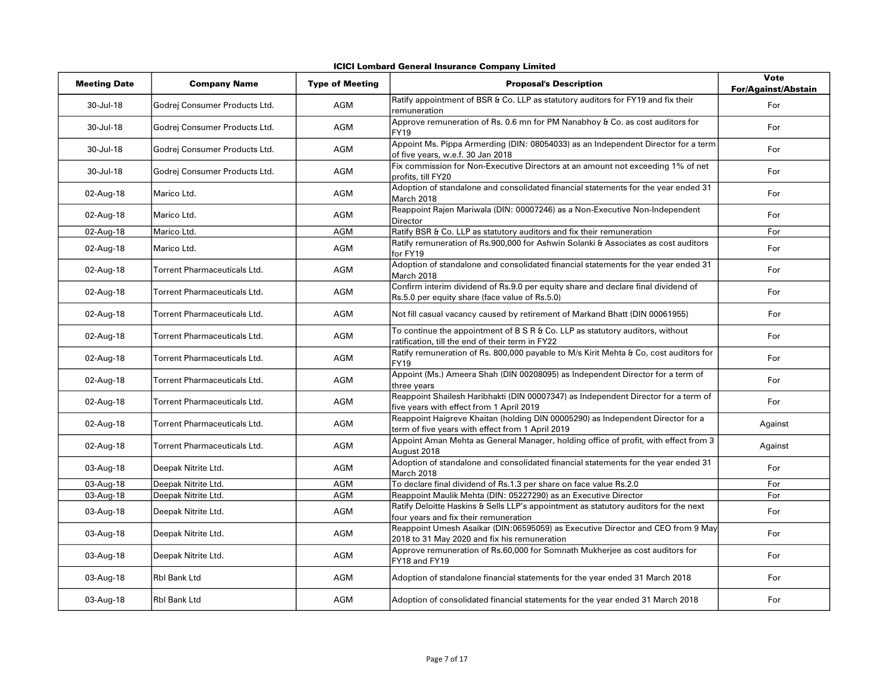| <b>Meeting Date</b> | <b>Company Name</b>                 | <b>Type of Meeting</b> | <b>Proposal's Description</b>                                                                                                       | Vote<br><b>For/Against/Abstain</b> |
|---------------------|-------------------------------------|------------------------|-------------------------------------------------------------------------------------------------------------------------------------|------------------------------------|
| 30-Jul-18           | Godrej Consumer Products Ltd.       | <b>AGM</b>             | Ratify appointment of BSR & Co. LLP as statutory auditors for FY19 and fix their<br>remuneration                                    | For                                |
| 30-Jul-18           | Godrej Consumer Products Ltd.       | <b>AGM</b>             | Approve remuneration of Rs. 0.6 mn for PM Nanabhoy & Co. as cost auditors for<br><b>FY19</b>                                        | For                                |
| 30-Jul-18           | Godrej Consumer Products Ltd.       | <b>AGM</b>             | Appoint Ms. Pippa Armerding (DIN: 08054033) as an Independent Director for a term<br>of five years, w.e.f. 30 Jan 2018              | For                                |
| 30-Jul-18           | Godrej Consumer Products Ltd.       | <b>AGM</b>             | Fix commission for Non-Executive Directors at an amount not exceeding 1% of net<br>profits, till FY20                               | For                                |
| 02-Aug-18           | Marico Ltd.                         | <b>AGM</b>             | Adoption of standalone and consolidated financial statements for the year ended 31<br>March 2018                                    | For                                |
| 02-Aug-18           | Marico Ltd.                         | <b>AGM</b>             | Reappoint Rajen Mariwala (DIN: 00007246) as a Non-Executive Non-Independent<br><b>Director</b>                                      | For                                |
| 02-Aug-18           | Marico Ltd.                         | <b>AGM</b>             | Ratify BSR & Co. LLP as statutory auditors and fix their remuneration                                                               | For                                |
| 02-Aug-18           | Marico Ltd.                         | <b>AGM</b>             | Ratify remuneration of Rs.900,000 for Ashwin Solanki & Associates as cost auditors<br>for FY19                                      | For                                |
| 02-Aug-18           | <b>Torrent Pharmaceuticals Ltd.</b> | <b>AGM</b>             | Adoption of standalone and consolidated financial statements for the year ended 31<br>March 2018                                    | For                                |
| 02-Aug-18           | Torrent Pharmaceuticals Ltd.        | <b>AGM</b>             | Confirm interim dividend of Rs.9.0 per equity share and declare final dividend of<br>Rs.5.0 per equity share (face value of Rs.5.0) | For                                |
| 02-Aug-18           | Torrent Pharmaceuticals Ltd.        | <b>AGM</b>             | Not fill casual vacancy caused by retirement of Markand Bhatt (DIN 00061955)                                                        | For                                |
| 02-Aug-18           | Torrent Pharmaceuticals Ltd.        | <b>AGM</b>             | To continue the appointment of B S R & Co. LLP as statutory auditors, without<br>ratification, till the end of their term in FY22   | For                                |
| 02-Aug-18           | Torrent Pharmaceuticals Ltd.        | <b>AGM</b>             | Ratify remuneration of Rs. 800,000 payable to M/s Kirit Mehta & Co, cost auditors for<br><b>FY19</b>                                | For                                |
| 02-Aug-18           | <b>Torrent Pharmaceuticals Ltd.</b> | <b>AGM</b>             | Appoint (Ms.) Ameera Shah (DIN 00208095) as Independent Director for a term of<br>three years                                       | For                                |
| 02-Aug-18           | Torrent Pharmaceuticals Ltd.        | <b>AGM</b>             | Reappoint Shailesh Haribhakti (DIN 00007347) as Independent Director for a term of<br>five years with effect from 1 April 2019      | For                                |
| 02-Aug-18           | <b>Torrent Pharmaceuticals Ltd.</b> | <b>AGM</b>             | Reappoint Haigreve Khaitan (holding DIN 00005290) as Independent Director for a<br>term of five years with effect from 1 April 2019 | Against                            |
| 02-Aug-18           | Torrent Pharmaceuticals Ltd.        | <b>AGM</b>             | Appoint Aman Mehta as General Manager, holding office of profit, with effect from 3<br>August 2018                                  | Against                            |
| 03-Aug-18           | Deepak Nitrite Ltd.                 | <b>AGM</b>             | Adoption of standalone and consolidated financial statements for the year ended 31<br>March 2018                                    | For                                |
| 03-Aug-18           | Deepak Nitrite Ltd.                 | <b>AGM</b>             | To declare final dividend of Rs.1.3 per share on face value Rs.2.0                                                                  | For                                |
| 03-Aug-18           | Deepak Nitrite Ltd.                 | <b>AGM</b>             | Reappoint Maulik Mehta (DIN: 05227290) as an Executive Director                                                                     | For                                |
| 03-Aug-18           | Deepak Nitrite Ltd.                 | AGM                    | Ratify Deloitte Haskins & Sells LLP's appointment as statutory auditors for the next<br>four years and fix their remuneration       | For                                |
| 03-Aug-18           | Deepak Nitrite Ltd.                 | AGM                    | Reappoint Umesh Asaikar (DIN:06595059) as Executive Director and CEO from 9 May<br>2018 to 31 May 2020 and fix his remuneration     | For                                |
| 03-Aug-18           | Deepak Nitrite Ltd.                 | AGM                    | Approve remuneration of Rs.60,000 for Somnath Mukherjee as cost auditors for<br>FY18 and FY19                                       | For                                |
| 03-Aug-18           | <b>Rbl Bank Ltd</b>                 | <b>AGM</b>             | Adoption of standalone financial statements for the year ended 31 March 2018                                                        | For                                |
| 03-Aug-18           | <b>Rbl Bank Ltd</b>                 | <b>AGM</b>             | Adoption of consolidated financial statements for the year ended 31 March 2018                                                      | For                                |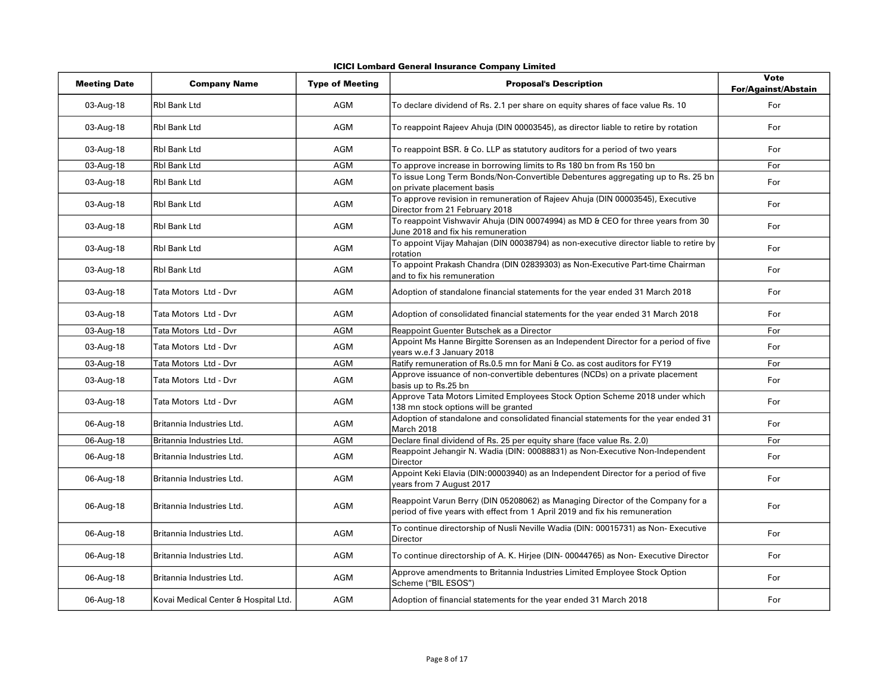| ICICI Lombard General Insurance Company Limited |  |  |  |  |
|-------------------------------------------------|--|--|--|--|
|-------------------------------------------------|--|--|--|--|

| <b>Meeting Date</b> | <b>Company Name</b>                  | <b>Type of Meeting</b> | <b>Proposal's Description</b>                                                                                                                                 | Vote<br><b>For/Against/Abstain</b> |
|---------------------|--------------------------------------|------------------------|---------------------------------------------------------------------------------------------------------------------------------------------------------------|------------------------------------|
| 03-Aug-18           | <b>Rbl Bank Ltd</b>                  | AGM                    | To declare dividend of Rs. 2.1 per share on equity shares of face value Rs. 10                                                                                | For                                |
| 03-Aug-18           | <b>Rbl Bank Ltd</b>                  | <b>AGM</b>             | To reappoint Rajeev Ahuja (DIN 00003545), as director liable to retire by rotation                                                                            | For                                |
| 03-Aug-18           | <b>Rbl Bank Ltd</b>                  | <b>AGM</b>             | To reappoint BSR. & Co. LLP as statutory auditors for a period of two years                                                                                   | For                                |
| 03-Aug-18           | <b>Rbl Bank Ltd</b>                  | <b>AGM</b>             | To approve increase in borrowing limits to Rs 180 bn from Rs 150 bn                                                                                           | For                                |
| 03-Aug-18           | <b>Rbl Bank Ltd</b>                  | <b>AGM</b>             | To issue Long Term Bonds/Non-Convertible Debentures aggregating up to Rs. 25 bn<br>on private placement basis                                                 | For                                |
| 03-Aug-18           | <b>Rbl Bank Ltd</b>                  | <b>AGM</b>             | To approve revision in remuneration of Rajeev Ahuja (DIN 00003545), Executive<br>Director from 21 February 2018                                               | For                                |
| 03-Aug-18           | <b>Rbl Bank Ltd</b>                  | AGM                    | To reappoint Vishwavir Ahuja (DIN 00074994) as MD & CEO for three years from 30<br>June 2018 and fix his remuneration                                         | For                                |
| 03-Aug-18           | <b>Rbl Bank Ltd</b>                  | <b>AGM</b>             | To appoint Vijay Mahajan (DIN 00038794) as non-executive director liable to retire by<br>rotation                                                             | For                                |
| 03-Aug-18           | <b>Rbl Bank Ltd</b>                  | <b>AGM</b>             | To appoint Prakash Chandra (DIN 02839303) as Non-Executive Part-time Chairman<br>and to fix his remuneration                                                  | For                                |
| 03-Aug-18           | Tata Motors Ltd - Dvr                | AGM                    | Adoption of standalone financial statements for the year ended 31 March 2018                                                                                  | For                                |
| 03-Aug-18           | Tata Motors Ltd - Dvr                | AGM                    | Adoption of consolidated financial statements for the year ended 31 March 2018                                                                                | For                                |
| 03-Aug-18           | Tata Motors Ltd - Dvr                | AGM                    | Reappoint Guenter Butschek as a Director                                                                                                                      | For                                |
| 03-Aug-18           | Tata Motors Ltd - Dvr                | AGM                    | Appoint Ms Hanne Birgitte Sorensen as an Independent Director for a period of five<br>years w.e.f 3 January 2018                                              | For                                |
| 03-Aug-18           | Tata Motors Ltd - Dvr                | <b>AGM</b>             | Ratify remuneration of Rs.0.5 mn for Mani & Co. as cost auditors for FY19                                                                                     | For                                |
| 03-Aug-18           | Tata Motors Ltd - Dvr                | AGM                    | Approve issuance of non-convertible debentures (NCDs) on a private placement<br>basis up to Rs.25 bn                                                          | For                                |
| 03-Aug-18           | Tata Motors Ltd - Dvr                | AGM                    | Approve Tata Motors Limited Employees Stock Option Scheme 2018 under which<br>138 mn stock options will be granted                                            | For                                |
| 06-Aug-18           | Britannia Industries Ltd.            | <b>AGM</b>             | Adoption of standalone and consolidated financial statements for the year ended 31<br>March 2018                                                              | For                                |
| 06-Aug-18           | Britannia Industries Ltd.            | <b>AGM</b>             | Declare final dividend of Rs. 25 per equity share (face value Rs. 2.0)                                                                                        | For                                |
| 06-Aug-18           | Britannia Industries Ltd.            | <b>AGM</b>             | Reappoint Jehangir N. Wadia (DIN: 00088831) as Non-Executive Non-Independent<br>Director                                                                      | For                                |
| 06-Aug-18           | Britannia Industries Ltd.            | AGM                    | Appoint Keki Elavia (DIN:00003940) as an Independent Director for a period of five<br>years from 7 August 2017                                                | For                                |
| 06-Aug-18           | Britannia Industries Ltd.            | AGM                    | Reappoint Varun Berry (DIN 05208062) as Managing Director of the Company for a<br>period of five years with effect from 1 April 2019 and fix his remuneration | For                                |
| 06-Aug-18           | Britannia Industries Ltd.            | AGM                    | To continue directorship of Nusli Neville Wadia (DIN: 00015731) as Non- Executive<br>Director                                                                 | For                                |
| 06-Aug-18           | Britannia Industries Ltd.            | AGM                    | To continue directorship of A. K. Hirjee (DIN-00044765) as Non- Executive Director                                                                            | For                                |
| 06-Aug-18           | Britannia Industries Ltd.            | AGM                    | Approve amendments to Britannia Industries Limited Employee Stock Option<br>Scheme ("BIL ESOS")                                                               | For                                |
| 06-Aug-18           | Kovai Medical Center & Hospital Ltd. | AGM                    | Adoption of financial statements for the year ended 31 March 2018                                                                                             | For                                |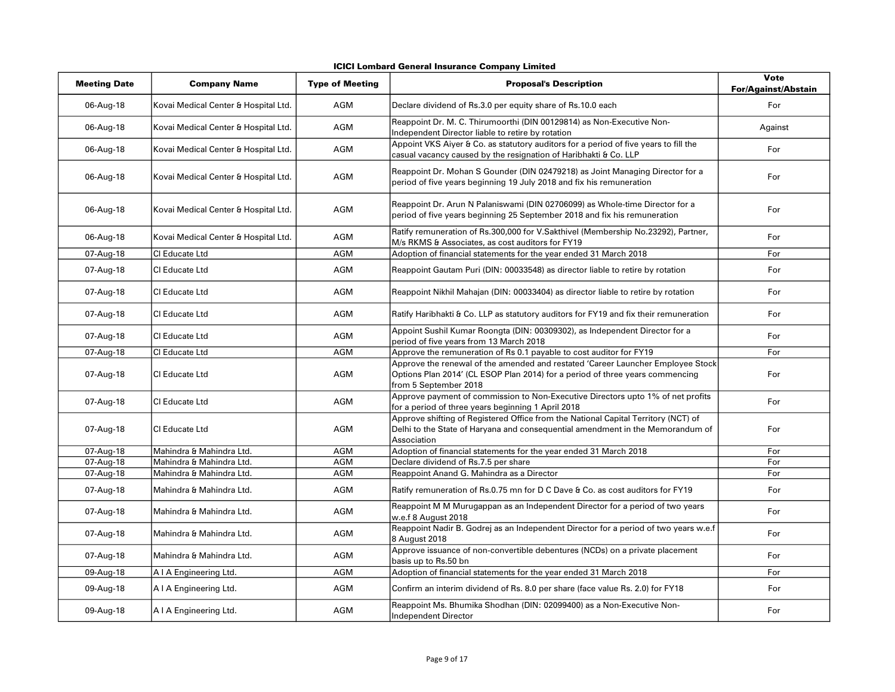| <b>ICICI Lombard General Insurance Company Limited</b> |  |  |  |  |
|--------------------------------------------------------|--|--|--|--|
|--------------------------------------------------------|--|--|--|--|

| <b>Meeting Date</b> | <b>Company Name</b>                  | <b>Type of Meeting</b> | <b>Proposal's Description</b>                                                                                                                                                             | Vote<br><b>For/Against/Abstain</b> |
|---------------------|--------------------------------------|------------------------|-------------------------------------------------------------------------------------------------------------------------------------------------------------------------------------------|------------------------------------|
| 06-Aug-18           | Kovai Medical Center & Hospital Ltd. | <b>AGM</b>             | Declare dividend of Rs.3.0 per equity share of Rs.10.0 each                                                                                                                               | For                                |
| 06-Aug-18           | Kovai Medical Center & Hospital Ltd. | <b>AGM</b>             | Reappoint Dr. M. C. Thirumoorthi (DIN 00129814) as Non-Executive Non-<br>Independent Director liable to retire by rotation                                                                | Against                            |
| 06-Aug-18           | Kovai Medical Center & Hospital Ltd. | <b>AGM</b>             | Appoint VKS Aiyer & Co. as statutory auditors for a period of five years to fill the<br>casual vacancy caused by the resignation of Haribhakti & Co. LLP                                  | For                                |
| 06-Aug-18           | Kovai Medical Center & Hospital Ltd. | AGM                    | Reappoint Dr. Mohan S Gounder (DIN 02479218) as Joint Managing Director for a<br>period of five years beginning 19 July 2018 and fix his remuneration                                     | For                                |
| 06-Aug-18           | Kovai Medical Center & Hospital Ltd. | AGM                    | Reappoint Dr. Arun N Palaniswami (DIN 02706099) as Whole-time Director for a<br>period of five years beginning 25 September 2018 and fix his remuneration                                 | For                                |
| 06-Aug-18           | Kovai Medical Center & Hospital Ltd. | <b>AGM</b>             | Ratify remuneration of Rs.300,000 for V.Sakthivel (Membership No.23292), Partner,<br>M/s RKMS & Associates, as cost auditors for FY19                                                     | For                                |
| 07-Aug-18           | CI Educate Ltd                       | AGM                    | Adoption of financial statements for the year ended 31 March 2018                                                                                                                         | For                                |
| 07-Aug-18           | CI Educate Ltd                       | <b>AGM</b>             | Reappoint Gautam Puri (DIN: 00033548) as director liable to retire by rotation                                                                                                            | For                                |
| 07-Aug-18           | CI Educate Ltd                       | <b>AGM</b>             | Reappoint Nikhil Mahajan (DIN: 00033404) as director liable to retire by rotation                                                                                                         | For                                |
| 07-Aug-18           | CI Educate Ltd                       | <b>AGM</b>             | Ratify Haribhakti & Co. LLP as statutory auditors for FY19 and fix their remuneration                                                                                                     | For                                |
| 07-Aug-18           | CI Educate Ltd                       | <b>AGM</b>             | Appoint Sushil Kumar Roongta (DIN: 00309302), as Independent Director for a<br>period of five years from 13 March 2018                                                                    | For                                |
| 07-Aug-18           | CI Educate Ltd                       | <b>AGM</b>             | Approve the remuneration of Rs 0.1 payable to cost auditor for FY19                                                                                                                       | For                                |
| 07-Aug-18           | CI Educate Ltd                       | <b>AGM</b>             | Approve the renewal of the amended and restated 'Career Launcher Employee Stock<br>Options Plan 2014' (CL ESOP Plan 2014) for a period of three years commencing<br>from 5 September 2018 | For                                |
| 07-Aug-18           | CI Educate Ltd                       | <b>AGM</b>             | Approve payment of commission to Non-Executive Directors upto 1% of net profits<br>for a period of three years beginning 1 April 2018                                                     | For                                |
| 07-Aug-18           | CI Educate Ltd                       | <b>AGM</b>             | Approve shifting of Registered Office from the National Capital Territory (NCT) of<br>Delhi to the State of Haryana and consequential amendment in the Memorandum of<br>Association       | For                                |
| 07-Aug-18           | Mahindra & Mahindra Ltd.             | AGM                    | Adoption of financial statements for the year ended 31 March 2018                                                                                                                         | For                                |
| 07-Aug-18           | Mahindra & Mahindra Ltd.             | <b>AGM</b>             | Declare dividend of Rs.7.5 per share                                                                                                                                                      | For                                |
| 07-Aug-18           | Mahindra & Mahindra Ltd.             | <b>AGM</b>             | Reappoint Anand G. Mahindra as a Director                                                                                                                                                 | For                                |
| 07-Aug-18           | Mahindra & Mahindra Ltd.             | <b>AGM</b>             | Ratify remuneration of Rs.0.75 mn for D C Dave & Co. as cost auditors for FY19                                                                                                            | For                                |
| 07-Aug-18           | Mahindra & Mahindra Ltd.             | <b>AGM</b>             | Reappoint M M Murugappan as an Independent Director for a period of two years<br>w.e.f 8 August 2018                                                                                      | For                                |
| 07-Aug-18           | Mahindra & Mahindra Ltd.             | <b>AGM</b>             | Reappoint Nadir B. Godrej as an Independent Director for a period of two years w.e.f<br>8 August 2018                                                                                     | For                                |
| 07-Aug-18           | Mahindra & Mahindra Ltd.             | AGM                    | Approve issuance of non-convertible debentures (NCDs) on a private placement<br>basis up to Rs.50 bn                                                                                      | For                                |
| 09-Aug-18           | A I A Engineering Ltd.               | <b>AGM</b>             | Adoption of financial statements for the year ended 31 March 2018                                                                                                                         | For                                |
| 09-Aug-18           | A I A Engineering Ltd.               | AGM                    | Confirm an interim dividend of Rs. 8.0 per share (face value Rs. 2.0) for FY18                                                                                                            | For                                |
| 09-Aug-18           | A I A Engineering Ltd.               | <b>AGM</b>             | Reappoint Ms. Bhumika Shodhan (DIN: 02099400) as a Non-Executive Non-<br>Independent Director                                                                                             | For                                |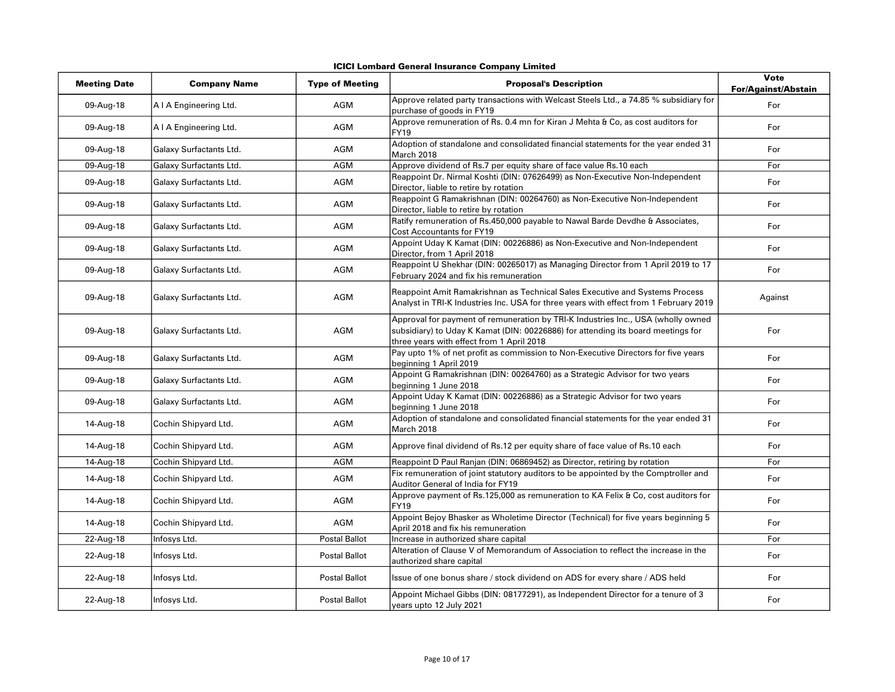| ICICI Lombard General Insurance Company Limited |  |
|-------------------------------------------------|--|
|-------------------------------------------------|--|

| <b>Meeting Date</b> | <b>Company Name</b>     | <b>Type of Meeting</b> | <b>Proposal's Description</b>                                                                                                                                                                                     | Vote<br><b>For/Against/Abstain</b> |
|---------------------|-------------------------|------------------------|-------------------------------------------------------------------------------------------------------------------------------------------------------------------------------------------------------------------|------------------------------------|
| 09-Aug-18           | A I A Engineering Ltd.  | AGM                    | Approve related party transactions with Welcast Steels Ltd., a 74.85 % subsidiary for<br>purchase of goods in FY19                                                                                                | For                                |
| 09-Aug-18           | A I A Engineering Ltd.  | <b>AGM</b>             | Approve remuneration of Rs. 0.4 mn for Kiran J Mehta & Co, as cost auditors for<br>FY19                                                                                                                           | For                                |
| 09-Aug-18           | Galaxy Surfactants Ltd. | <b>AGM</b>             | Adoption of standalone and consolidated financial statements for the year ended 31<br>March 2018                                                                                                                  | For                                |
| 09-Aug-18           | Galaxy Surfactants Ltd. | <b>AGM</b>             | Approve dividend of Rs.7 per equity share of face value Rs.10 each                                                                                                                                                | For                                |
| 09-Aug-18           | Galaxy Surfactants Ltd. | AGM                    | Reappoint Dr. Nirmal Koshti (DIN: 07626499) as Non-Executive Non-Independent<br>Director, liable to retire by rotation                                                                                            | For                                |
| 09-Aug-18           | Galaxy Surfactants Ltd. | AGM                    | Reappoint G Ramakrishnan (DIN: 00264760) as Non-Executive Non-Independent<br>Director, liable to retire by rotation                                                                                               | For                                |
| 09-Aug-18           | Galaxy Surfactants Ltd. | AGM                    | Ratify remuneration of Rs.450,000 payable to Nawal Barde Devdhe & Associates,<br><b>Cost Accountants for FY19</b>                                                                                                 | For                                |
| 09-Aug-18           | Galaxy Surfactants Ltd. | <b>AGM</b>             | Appoint Uday K Kamat (DIN: 00226886) as Non-Executive and Non-Independent<br>Director, from 1 April 2018                                                                                                          | For                                |
| 09-Aug-18           | Galaxy Surfactants Ltd. | AGM                    | Reappoint U Shekhar (DIN: 00265017) as Managing Director from 1 April 2019 to 17<br>February 2024 and fix his remuneration                                                                                        | For                                |
| 09-Aug-18           | Galaxy Surfactants Ltd. | AGM                    | Reappoint Amit Ramakrishnan as Technical Sales Executive and Systems Process<br>Analyst in TRI-K Industries Inc. USA for three years with effect from 1 February 2019                                             | Against                            |
| 09-Aug-18           | Galaxy Surfactants Ltd. | AGM                    | Approval for payment of remuneration by TRI-K Industries Inc., USA (wholly owned<br>subsidiary) to Uday K Kamat (DIN: 00226886) for attending its board meetings for<br>three years with effect from 1 April 2018 | For                                |
| 09-Aug-18           | Galaxy Surfactants Ltd. | AGM                    | Pay upto 1% of net profit as commission to Non-Executive Directors for five years<br>beginning 1 April 2019                                                                                                       | For                                |
| 09-Aug-18           | Galaxy Surfactants Ltd. | AGM                    | Appoint G Ramakrishnan (DIN: 00264760) as a Strategic Advisor for two years<br>beginning 1 June 2018                                                                                                              | For                                |
| 09-Aug-18           | Galaxy Surfactants Ltd. | AGM                    | Appoint Uday K Kamat (DIN: 00226886) as a Strategic Advisor for two years<br>beginning 1 June 2018                                                                                                                | For                                |
| 14-Aug-18           | Cochin Shipyard Ltd.    | <b>AGM</b>             | Adoption of standalone and consolidated financial statements for the year ended 31<br>March 2018                                                                                                                  | For                                |
| 14-Aug-18           | Cochin Shipyard Ltd.    | AGM                    | Approve final dividend of Rs.12 per equity share of face value of Rs.10 each                                                                                                                                      | For                                |
| 14-Aug-18           | Cochin Shipyard Ltd.    | AGM                    | Reappoint D Paul Ranjan (DIN: 06869452) as Director, retiring by rotation                                                                                                                                         | For                                |
| 14-Aug-18           | Cochin Shipyard Ltd.    | AGM                    | Fix remuneration of joint statutory auditors to be appointed by the Comptroller and<br>Auditor General of India for FY19                                                                                          | For                                |
| 14-Aug-18           | Cochin Shipyard Ltd.    | <b>AGM</b>             | Approve payment of Rs.125,000 as remuneration to KA Felix & Co, cost auditors for<br><b>FY19</b>                                                                                                                  | For                                |
| 14-Aug-18           | Cochin Shipyard Ltd.    | <b>AGM</b>             | Appoint Bejoy Bhasker as Wholetime Director (Technical) for five years beginning 5<br>April 2018 and fix his remuneration                                                                                         | For                                |
| 22-Aug-18           | Infosys Ltd.            | <b>Postal Ballot</b>   | Increase in authorized share capital                                                                                                                                                                              | For                                |
| 22-Aug-18           | Infosys Ltd.            | <b>Postal Ballot</b>   | Alteration of Clause V of Memorandum of Association to reflect the increase in the<br>authorized share capital                                                                                                    | For                                |
| 22-Aug-18           | Infosys Ltd.            | <b>Postal Ballot</b>   | Issue of one bonus share / stock dividend on ADS for every share / ADS held                                                                                                                                       | For                                |
| 22-Aug-18           | Infosys Ltd.            | <b>Postal Ballot</b>   | Appoint Michael Gibbs (DIN: 08177291), as Independent Director for a tenure of 3<br>years upto 12 July 2021                                                                                                       | For                                |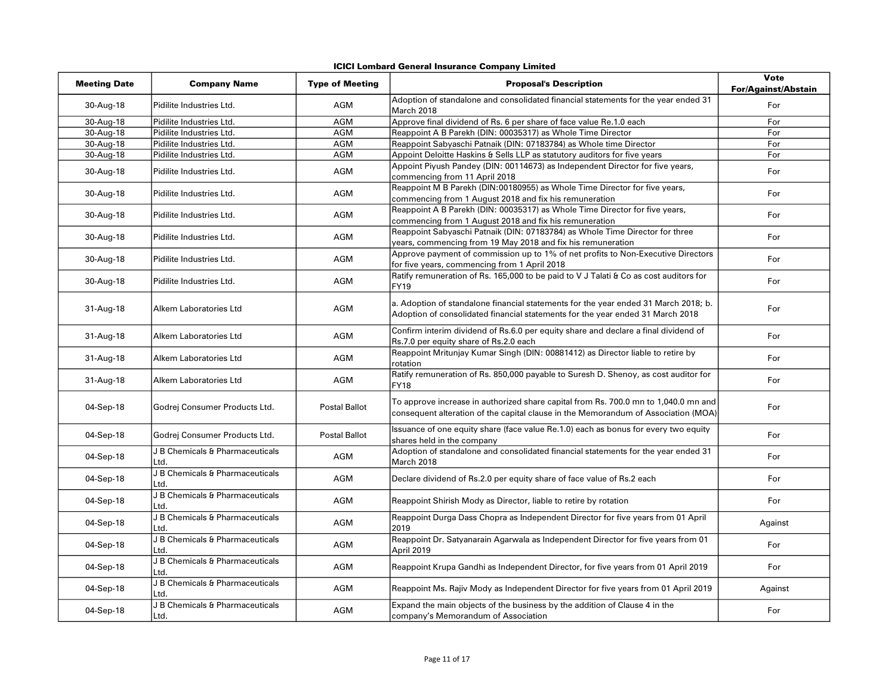| <b>Meeting Date</b> | <b>Company Name</b>                     | <b>Type of Meeting</b> | <b>Proposal's Description</b>                                                                                                                                             | <b>Vote</b><br><b>For/Against/Abstain</b> |
|---------------------|-----------------------------------------|------------------------|---------------------------------------------------------------------------------------------------------------------------------------------------------------------------|-------------------------------------------|
| 30-Aug-18           | Pidilite Industries Ltd.                | AGM                    | Adoption of standalone and consolidated financial statements for the year ended 31<br>March 2018                                                                          | For                                       |
| 30-Aug-18           | Pidilite Industries Ltd.                | AGM                    | Approve final dividend of Rs. 6 per share of face value Re.1.0 each                                                                                                       | For                                       |
| 30-Aug-18           | Pidilite Industries Ltd.                | AGM                    | Reappoint A B Parekh (DIN: 00035317) as Whole Time Director                                                                                                               | For                                       |
| 30-Aug-18           | Pidilite Industries Ltd.                | <b>AGM</b>             | Reappoint Sabyaschi Patnaik (DIN: 07183784) as Whole time Director                                                                                                        | For                                       |
| 30-Aug-18           | Pidilite Industries Ltd.                | <b>AGM</b>             | Appoint Deloitte Haskins & Sells LLP as statutory auditors for five years                                                                                                 | For                                       |
| 30-Aug-18           | Pidilite Industries Ltd.                | AGM                    | Appoint Piyush Pandey (DIN: 00114673) as Independent Director for five years,<br>commencing from 11 April 2018                                                            | For                                       |
| 30-Aug-18           | Pidilite Industries Ltd.                | AGM                    | Reappoint M B Parekh (DIN:00180955) as Whole Time Director for five years,<br>commencing from 1 August 2018 and fix his remuneration                                      | For                                       |
| 30-Aug-18           | Pidilite Industries Ltd.                | AGM                    | Reappoint A B Parekh (DIN: 00035317) as Whole Time Director for five years,<br>commencing from 1 August 2018 and fix his remuneration                                     | For                                       |
| 30-Aug-18           | Pidilite Industries Ltd.                | AGM                    | Reappoint Sabyaschi Patnaik (DIN: 07183784) as Whole Time Director for three<br>years, commencing from 19 May 2018 and fix his remuneration                               | For                                       |
| 30-Aug-18           | Pidilite Industries Ltd.                | AGM                    | Approve payment of commission up to 1% of net profits to Non-Executive Directors<br>for five years, commencing from 1 April 2018                                          | For                                       |
| 30-Aug-18           | Pidilite Industries Ltd.                | AGM                    | Ratify remuneration of Rs. 165,000 to be paid to V J Talati & Co as cost auditors for<br>FY19                                                                             | For                                       |
| 31-Aug-18           | Alkem Laboratories Ltd                  | AGM                    | a. Adoption of standalone financial statements for the year ended 31 March 2018; b.<br>Adoption of consolidated financial statements for the year ended 31 March 2018     | For                                       |
| 31-Aug-18           | Alkem Laboratories Ltd                  | AGM                    | Confirm interim dividend of Rs.6.0 per equity share and declare a final dividend of<br>Rs.7.0 per equity share of Rs.2.0 each                                             | For                                       |
| 31-Aug-18           | Alkem Laboratories Ltd                  | <b>AGM</b>             | Reappoint Mritunjay Kumar Singh (DIN: 00881412) as Director liable to retire by<br>rotation                                                                               | For                                       |
| 31-Aug-18           | Alkem Laboratories Ltd                  | AGM                    | Ratify remuneration of Rs. 850,000 payable to Suresh D. Shenoy, as cost auditor for<br>FY18                                                                               | For                                       |
| 04-Sep-18           | Godrej Consumer Products Ltd.           | <b>Postal Ballot</b>   | To approve increase in authorized share capital from Rs. 700.0 mn to 1,040.0 mn and<br>consequent alteration of the capital clause in the Memorandum of Association (MOA) | For                                       |
| 04-Sep-18           | Godrej Consumer Products Ltd.           | <b>Postal Ballot</b>   | Issuance of one equity share (face value Re.1.0) each as bonus for every two equity<br>shares held in the company                                                         | For                                       |
| 04-Sep-18           | J B Chemicals & Pharmaceuticals<br>Ltd. | AGM                    | Adoption of standalone and consolidated financial statements for the year ended 31<br>March 2018                                                                          | For                                       |
| 04-Sep-18           | J B Chemicals & Pharmaceuticals<br>Ltd. | AGM                    | Declare dividend of Rs.2.0 per equity share of face value of Rs.2 each                                                                                                    | For                                       |
| 04-Sep-18           | J B Chemicals & Pharmaceuticals<br>Ltd. | AGM                    | Reappoint Shirish Mody as Director, liable to retire by rotation                                                                                                          | For                                       |
| 04-Sep-18           | J B Chemicals & Pharmaceuticals<br>Ltd. | AGM                    | Reappoint Durga Dass Chopra as Independent Director for five years from 01 April<br>2019                                                                                  | Against                                   |
| 04-Sep-18           | J B Chemicals & Pharmaceuticals<br>Ltd. | AGM                    | Reappoint Dr. Satyanarain Agarwala as Independent Director for five years from 01<br>April 2019                                                                           | For                                       |
| 04-Sep-18           | J B Chemicals & Pharmaceuticals<br>Ltd. | AGM                    | Reappoint Krupa Gandhi as Independent Director, for five years from 01 April 2019                                                                                         | For                                       |
| 04-Sep-18           | J B Chemicals & Pharmaceuticals<br>Ltd. | AGM                    | Reappoint Ms. Rajiv Mody as Independent Director for five years from 01 April 2019                                                                                        | Against                                   |
| 04-Sep-18           | J B Chemicals & Pharmaceuticals<br>Ltd. | AGM                    | Expand the main objects of the business by the addition of Clause 4 in the<br>company's Memorandum of Association                                                         | For                                       |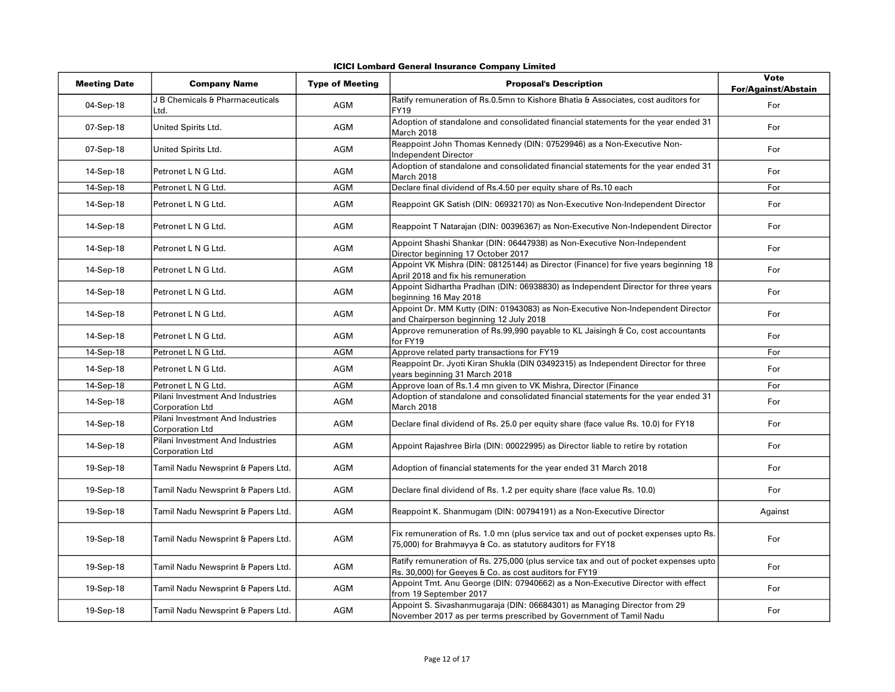| <b>Meeting Date</b> | <b>Company Name</b>                                        | <b>Type of Meeting</b> | <b>Proposal's Description</b>                                                                                                                      | <b>Vote</b><br><b>For/Against/Abstain</b> |
|---------------------|------------------------------------------------------------|------------------------|----------------------------------------------------------------------------------------------------------------------------------------------------|-------------------------------------------|
| 04-Sep-18           | J B Chemicals & Pharmaceuticals<br>Ltd.                    | AGM                    | Ratify remuneration of Rs.0.5mn to Kishore Bhatia & Associates, cost auditors for<br><b>FY19</b>                                                   | For                                       |
| 07-Sep-18           | United Spirits Ltd.                                        | <b>AGM</b>             | Adoption of standalone and consolidated financial statements for the year ended 31<br>March 2018                                                   | For                                       |
| 07-Sep-18           | United Spirits Ltd.                                        | AGM                    | Reappoint John Thomas Kennedy (DIN: 07529946) as a Non-Executive Non-<br><b>Independent Director</b>                                               | For                                       |
| 14-Sep-18           | Petronet L N G Ltd.                                        | <b>AGM</b>             | Adoption of standalone and consolidated financial statements for the year ended 31<br>March 2018                                                   | For                                       |
| 14-Sep-18           | Petronet L N G Ltd.                                        | <b>AGM</b>             | Declare final dividend of Rs.4.50 per equity share of Rs.10 each                                                                                   | For                                       |
| 14-Sep-18           | Petronet L N G Ltd.                                        | <b>AGM</b>             | Reappoint GK Satish (DIN: 06932170) as Non-Executive Non-Independent Director                                                                      | For                                       |
| 14-Sep-18           | Petronet L N G Ltd.                                        | AGM                    | Reappoint T Natarajan (DIN: 00396367) as Non-Executive Non-Independent Director                                                                    | For                                       |
| 14-Sep-18           | Petronet L N G Ltd.                                        | AGM                    | Appoint Shashi Shankar (DIN: 06447938) as Non-Executive Non-Independent<br>Director beginning 17 October 2017                                      | For                                       |
| 14-Sep-18           | Petronet L N G Ltd.                                        | <b>AGM</b>             | Appoint VK Mishra (DIN: 08125144) as Director (Finance) for five years beginning 18<br>April 2018 and fix his remuneration                         | For                                       |
| 14-Sep-18           | Petronet L N G Ltd.                                        | AGM                    | Appoint Sidhartha Pradhan (DIN: 06938830) as Independent Director for three years<br>beginning 16 May 2018                                         | For                                       |
| 14-Sep-18           | Petronet L N G Ltd.                                        | AGM                    | Appoint Dr. MM Kutty (DIN: 01943083) as Non-Executive Non-Independent Director<br>and Chairperson beginning 12 July 2018                           | For                                       |
| 14-Sep-18           | Petronet L N G Ltd.                                        | AGM                    | Approve remuneration of Rs.99,990 payable to KL Jaisingh & Co, cost accountants<br>for FY19                                                        | For                                       |
| 14-Sep-18           | Petronet L N G Ltd.                                        | <b>AGM</b>             | Approve related party transactions for FY19                                                                                                        | For                                       |
| 14-Sep-18           | Petronet L N G Ltd.                                        | AGM                    | Reappoint Dr. Jyoti Kiran Shukla (DIN 03492315) as Independent Director for three<br>years beginning 31 March 2018                                 | For                                       |
| 14-Sep-18           | Petronet L N G Ltd.                                        | <b>AGM</b>             | Approve loan of Rs.1.4 mn given to VK Mishra, Director (Finance                                                                                    | For                                       |
| 14-Sep-18           | Pilani Investment And Industries<br><b>Corporation Ltd</b> | <b>AGM</b>             | Adoption of standalone and consolidated financial statements for the year ended 31<br>March 2018                                                   | For                                       |
| 14-Sep-18           | Pilani Investment And Industries<br><b>Corporation Ltd</b> | <b>AGM</b>             | Declare final dividend of Rs. 25.0 per equity share (face value Rs. 10.0) for FY18                                                                 | For                                       |
| 14-Sep-18           | Pilani Investment And Industries<br><b>Corporation Ltd</b> | AGM                    | Appoint Rajashree Birla (DIN: 00022995) as Director liable to retire by rotation                                                                   | For                                       |
| 19-Sep-18           | Tamil Nadu Newsprint & Papers Ltd.                         | AGM                    | Adoption of financial statements for the year ended 31 March 2018                                                                                  | For                                       |
| 19-Sep-18           | Tamil Nadu Newsprint & Papers Ltd.                         | <b>AGM</b>             | Declare final dividend of Rs. 1.2 per equity share (face value Rs. 10.0)                                                                           | For                                       |
| 19-Sep-18           | Tamil Nadu Newsprint & Papers Ltd.                         | AGM                    | Reappoint K. Shanmugam (DIN: 00794191) as a Non-Executive Director                                                                                 | Against                                   |
| 19-Sep-18           | Tamil Nadu Newsprint & Papers Ltd.                         | AGM                    | Fix remuneration of Rs. 1.0 mn (plus service tax and out of pocket expenses upto Rs.<br>75,000) for Brahmayya & Co. as statutory auditors for FY18 | For                                       |
| 19-Sep-18           | Tamil Nadu Newsprint & Papers Ltd.                         | AGM                    | Ratify remuneration of Rs. 275,000 (plus service tax and out of pocket expenses upto<br>Rs. 30,000) for Geeyes & Co. as cost auditors for FY19     | For                                       |
| 19-Sep-18           | Tamil Nadu Newsprint & Papers Ltd.                         | AGM                    | Appoint Tmt. Anu George (DIN: 07940662) as a Non-Executive Director with effect<br>from 19 September 2017                                          | For                                       |
| 19-Sep-18           | Tamil Nadu Newsprint & Papers Ltd.                         | <b>AGM</b>             | Appoint S. Sivashanmugaraja (DIN: 06684301) as Managing Director from 29<br>November 2017 as per terms prescribed by Government of Tamil Nadu      | For                                       |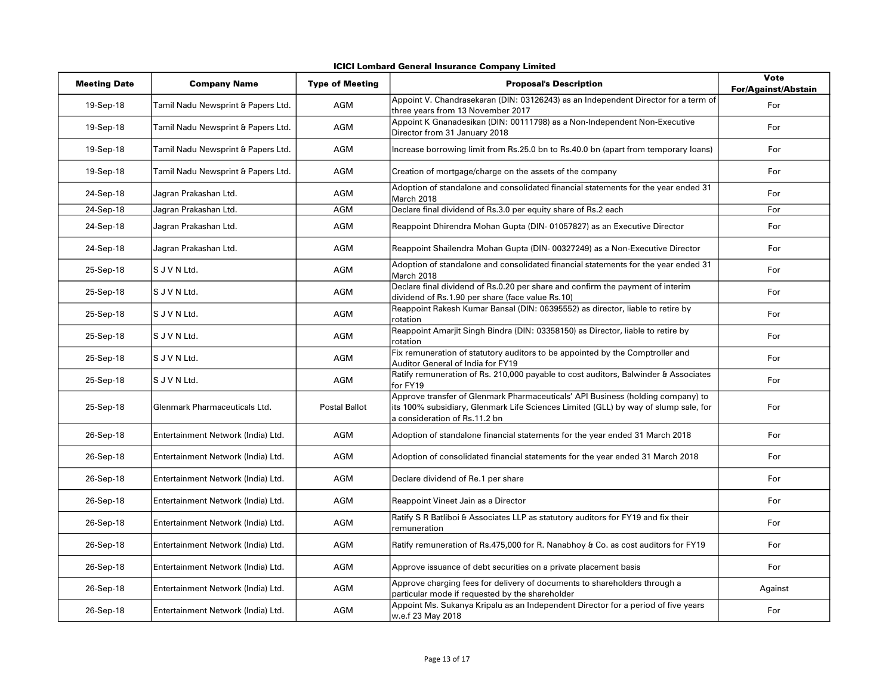| <b>Meeting Date</b> | <b>Company Name</b>                | <b>Type of Meeting</b> | <b>Proposal's Description</b>                                                                                                                                                                           | <b>Vote</b><br>For/Against/Abstain |
|---------------------|------------------------------------|------------------------|---------------------------------------------------------------------------------------------------------------------------------------------------------------------------------------------------------|------------------------------------|
| 19-Sep-18           | Tamil Nadu Newsprint & Papers Ltd. | AGM                    | Appoint V. Chandrasekaran (DIN: 03126243) as an Independent Director for a term of<br>three years from 13 November 2017                                                                                 | For                                |
| 19-Sep-18           | Tamil Nadu Newsprint & Papers Ltd. | <b>AGM</b>             | Appoint K Gnanadesikan (DIN: 00111798) as a Non-Independent Non-Executive<br>Director from 31 January 2018                                                                                              | For                                |
| 19-Sep-18           | Tamil Nadu Newsprint & Papers Ltd. | <b>AGM</b>             | Increase borrowing limit from Rs.25.0 bn to Rs.40.0 bn (apart from temporary loans)                                                                                                                     | For                                |
| 19-Sep-18           | Tamil Nadu Newsprint & Papers Ltd. | AGM                    | Creation of mortgage/charge on the assets of the company                                                                                                                                                | For                                |
| 24-Sep-18           | Jagran Prakashan Ltd.              | AGM                    | Adoption of standalone and consolidated financial statements for the year ended 31<br>March 2018                                                                                                        | For                                |
| 24-Sep-18           | Jagran Prakashan Ltd.              | <b>AGM</b>             | Declare final dividend of Rs.3.0 per equity share of Rs.2 each                                                                                                                                          | For                                |
| 24-Sep-18           | Jagran Prakashan Ltd.              | AGM                    | Reappoint Dhirendra Mohan Gupta (DIN-01057827) as an Executive Director                                                                                                                                 | For                                |
| 24-Sep-18           | Jagran Prakashan Ltd.              | AGM                    | Reappoint Shailendra Mohan Gupta (DIN-00327249) as a Non-Executive Director                                                                                                                             | For                                |
| 25-Sep-18           | S J V N Ltd.                       | AGM                    | Adoption of standalone and consolidated financial statements for the year ended 31<br>March 2018                                                                                                        | For                                |
| 25-Sep-18           | S J V N Ltd.                       | AGM                    | Declare final dividend of Rs.0.20 per share and confirm the payment of interim<br>dividend of Rs.1.90 per share (face value Rs.10)                                                                      | For                                |
| 25-Sep-18           | S J V N Ltd.                       | AGM                    | Reappoint Rakesh Kumar Bansal (DIN: 06395552) as director, liable to retire by<br>rotation                                                                                                              | For                                |
| 25-Sep-18           | S J V N Ltd.                       | AGM                    | Reappoint Amarjit Singh Bindra (DIN: 03358150) as Director, liable to retire by<br>r <b>otation</b>                                                                                                     | For                                |
| 25-Sep-18           | S J V N Ltd.                       | AGM                    | Fix remuneration of statutory auditors to be appointed by the Comptroller and<br>Auditor General of India for FY19                                                                                      | For                                |
| 25-Sep-18           | S J V N Ltd.                       | AGM                    | Ratify remuneration of Rs. 210,000 payable to cost auditors, Balwinder & Associates<br>for FY19                                                                                                         | For                                |
| 25-Sep-18           | Glenmark Pharmaceuticals Ltd.      | Postal Ballot          | Approve transfer of Glenmark Pharmaceuticals' API Business (holding company) to<br>its 100% subsidiary, Glenmark Life Sciences Limited (GLL) by way of slump sale, for<br>a consideration of Rs.11.2 bn | For                                |
| 26-Sep-18           | Entertainment Network (India) Ltd. | AGM                    | Adoption of standalone financial statements for the year ended 31 March 2018                                                                                                                            | For                                |
| 26-Sep-18           | Entertainment Network (India) Ltd. | AGM                    | Adoption of consolidated financial statements for the year ended 31 March 2018                                                                                                                          | For                                |
| 26-Sep-18           | Entertainment Network (India) Ltd. | <b>AGM</b>             | Declare dividend of Re.1 per share                                                                                                                                                                      | For                                |
| 26-Sep-18           | Entertainment Network (India) Ltd. | <b>AGM</b>             | Reappoint Vineet Jain as a Director                                                                                                                                                                     | For                                |
| 26-Sep-18           | Entertainment Network (India) Ltd. | <b>AGM</b>             | Ratify S R Batliboi & Associates LLP as statutory auditors for FY19 and fix their<br>remuneration                                                                                                       | For                                |
| 26-Sep-18           | Entertainment Network (India) Ltd. | <b>AGM</b>             | Ratify remuneration of Rs.475,000 for R. Nanabhoy & Co. as cost auditors for FY19                                                                                                                       | For                                |
| 26-Sep-18           | Entertainment Network (India) Ltd. | <b>AGM</b>             | Approve issuance of debt securities on a private placement basis                                                                                                                                        | For                                |
| 26-Sep-18           | Entertainment Network (India) Ltd. | AGM                    | Approve charging fees for delivery of documents to shareholders through a<br>particular mode if requested by the shareholder                                                                            | Against                            |
| 26-Sep-18           | Entertainment Network (India) Ltd. | AGM                    | Appoint Ms. Sukanya Kripalu as an Independent Director for a period of five years<br>w.e.f 23 May 2018                                                                                                  | For                                |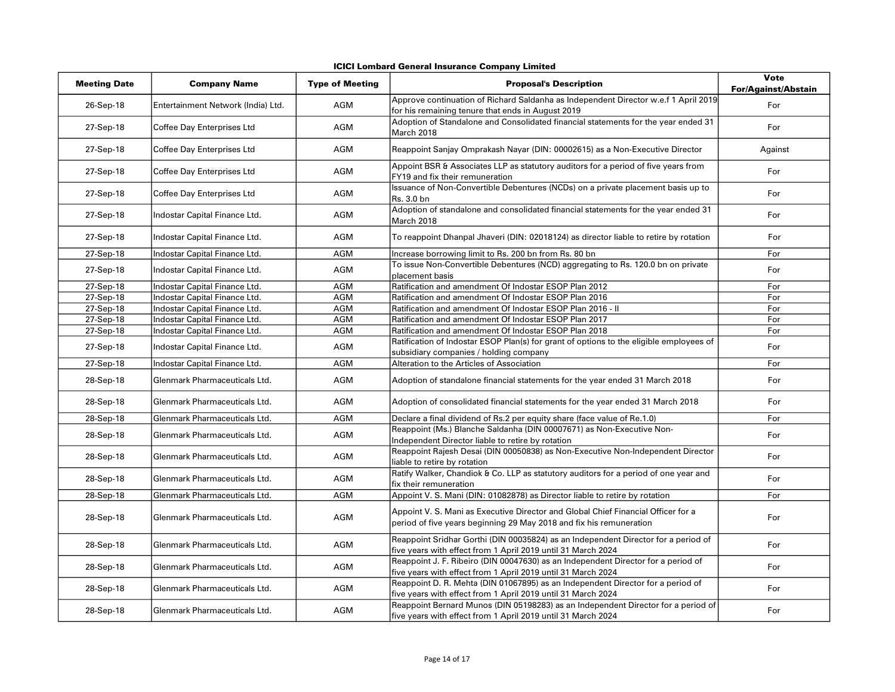|  |  |  | <b>ICICI Lombard General Insurance Company Limited</b> |  |  |
|--|--|--|--------------------------------------------------------|--|--|
|--|--|--|--------------------------------------------------------|--|--|

| <b>Meeting Date</b> | <b>Company Name</b>                | <b>Type of Meeting</b> | <b>Proposal's Description</b>                                                                                                                            | <b>Vote</b><br><b>For/Against/Abstain</b> |
|---------------------|------------------------------------|------------------------|----------------------------------------------------------------------------------------------------------------------------------------------------------|-------------------------------------------|
| 26-Sep-18           | Entertainment Network (India) Ltd. | AGM                    | Approve continuation of Richard Saldanha as Independent Director w.e.f 1 April 2019<br>for his remaining tenure that ends in August 2019                 | For                                       |
| 27-Sep-18           | Coffee Day Enterprises Ltd         | <b>AGM</b>             | Adoption of Standalone and Consolidated financial statements for the year ended 31<br>March 2018                                                         | For                                       |
| 27-Sep-18           | Coffee Day Enterprises Ltd         | <b>AGM</b>             | Reappoint Sanjay Omprakash Nayar (DIN: 00002615) as a Non-Executive Director                                                                             | Against                                   |
| 27-Sep-18           | Coffee Day Enterprises Ltd         | AGM                    | Appoint BSR & Associates LLP as statutory auditors for a period of five years from<br>FY19 and fix their remuneration                                    | For                                       |
| 27-Sep-18           | Coffee Day Enterprises Ltd         | AGM                    | Issuance of Non-Convertible Debentures (NCDs) on a private placement basis up to<br>Rs. 3.0 bn                                                           | For                                       |
| 27-Sep-18           | Indostar Capital Finance Ltd.      | <b>AGM</b>             | Adoption of standalone and consolidated financial statements for the year ended 31<br>March 2018                                                         | For                                       |
| 27-Sep-18           | Indostar Capital Finance Ltd.      | AGM                    | To reappoint Dhanpal Jhaveri (DIN: 02018124) as director liable to retire by rotation                                                                    | For                                       |
| 27-Sep-18           | Indostar Capital Finance Ltd.      | <b>AGM</b>             | Increase borrowing limit to Rs. 200 bn from Rs. 80 bn                                                                                                    | For                                       |
| 27-Sep-18           | Indostar Capital Finance Ltd.      | <b>AGM</b>             | To issue Non-Convertible Debentures (NCD) aggregating to Rs. 120.0 bn on private<br>placement basis                                                      | For                                       |
| 27-Sep-18           | Indostar Capital Finance Ltd.      | <b>AGM</b>             | Ratification and amendment Of Indostar ESOP Plan 2012                                                                                                    | For                                       |
| 27-Sep-18           | Indostar Capital Finance Ltd.      | <b>AGM</b>             | Ratification and amendment Of Indostar ESOP Plan 2016                                                                                                    | For                                       |
| 27-Sep-18           | Indostar Capital Finance Ltd.      | <b>AGM</b>             | Ratification and amendment Of Indostar ESOP Plan 2016 - II                                                                                               | For                                       |
| 27-Sep-18           | Indostar Capital Finance Ltd.      | <b>AGM</b>             | Ratification and amendment Of Indostar ESOP Plan 2017                                                                                                    | For                                       |
| 27-Sep-18           | Indostar Capital Finance Ltd.      | <b>AGM</b>             | Ratification and amendment Of Indostar ESOP Plan 2018                                                                                                    | For                                       |
| 27-Sep-18           | Indostar Capital Finance Ltd.      | AGM                    | Ratification of Indostar ESOP Plan(s) for grant of options to the eligible employees of<br>subsidiary companies / holding company                        | For                                       |
| 27-Sep-18           | Indostar Capital Finance Ltd.      | <b>AGM</b>             | Alteration to the Articles of Association                                                                                                                | For                                       |
| 28-Sep-18           | Glenmark Pharmaceuticals Ltd.      | AGM                    | Adoption of standalone financial statements for the year ended 31 March 2018                                                                             | For                                       |
| 28-Sep-18           | Glenmark Pharmaceuticals Ltd.      | AGM                    | Adoption of consolidated financial statements for the year ended 31 March 2018                                                                           | For                                       |
| 28-Sep-18           | Glenmark Pharmaceuticals Ltd.      | <b>AGM</b>             | Declare a final dividend of Rs.2 per equity share (face value of Re.1.0)                                                                                 | For                                       |
| 28-Sep-18           | Glenmark Pharmaceuticals Ltd.      | AGM                    | Reappoint (Ms.) Blanche Saldanha (DIN 00007671) as Non-Executive Non-<br>Independent Director liable to retire by rotation                               | For                                       |
| 28-Sep-18           | Glenmark Pharmaceuticals Ltd.      | AGM                    | Reappoint Rajesh Desai (DIN 00050838) as Non-Executive Non-Independent Director<br>liable to retire by rotation                                          | For                                       |
| 28-Sep-18           | Glenmark Pharmaceuticals Ltd.      | AGM                    | Ratify Walker, Chandiok & Co. LLP as statutory auditors for a period of one year and<br>fix their remuneration                                           | For                                       |
| 28-Sep-18           | Glenmark Pharmaceuticals Ltd.      | <b>AGM</b>             | Appoint V. S. Mani (DIN: 01082878) as Director liable to retire by rotation                                                                              | For                                       |
| 28-Sep-18           | Glenmark Pharmaceuticals Ltd.      | AGM                    | Appoint V. S. Mani as Executive Director and Global Chief Financial Officer for a<br>period of five years beginning 29 May 2018 and fix his remuneration | For                                       |
| 28-Sep-18           | Glenmark Pharmaceuticals Ltd.      | AGM                    | Reappoint Sridhar Gorthi (DIN 00035824) as an Independent Director for a period of<br>five years with effect from 1 April 2019 until 31 March 2024       | For                                       |
| 28-Sep-18           | Glenmark Pharmaceuticals Ltd.      | <b>AGM</b>             | Reappoint J. F. Ribeiro (DIN 00047630) as an Independent Director for a period of<br>five years with effect from 1 April 2019 until 31 March 2024        | For                                       |
| 28-Sep-18           | Glenmark Pharmaceuticals Ltd.      | AGM                    | Reappoint D. R. Mehta (DIN 01067895) as an Independent Director for a period of<br>five years with effect from 1 April 2019 until 31 March 2024          | For                                       |
| 28-Sep-18           | Glenmark Pharmaceuticals Ltd.      | <b>AGM</b>             | Reappoint Bernard Munos (DIN 05198283) as an Independent Director for a period of<br>five years with effect from 1 April 2019 until 31 March 2024        | For                                       |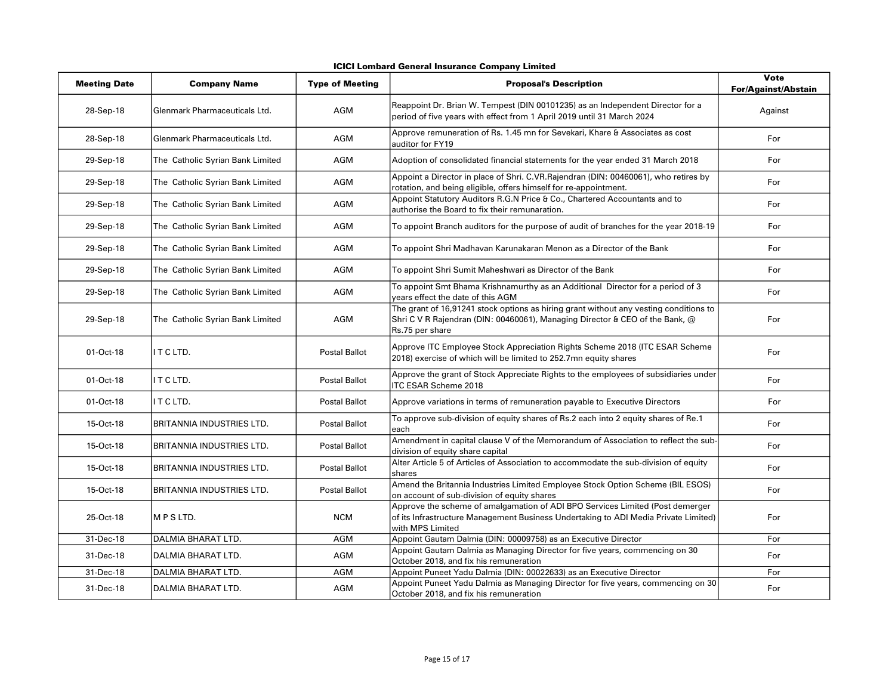|                     | icici Lombaru General msurance Company Limiteu |                        |                                                                                                                                                                                          |                                    |  |
|---------------------|------------------------------------------------|------------------------|------------------------------------------------------------------------------------------------------------------------------------------------------------------------------------------|------------------------------------|--|
| <b>Meeting Date</b> | <b>Company Name</b>                            | <b>Type of Meeting</b> | <b>Proposal's Description</b>                                                                                                                                                            | Vote<br><b>For/Against/Abstain</b> |  |
| 28-Sep-18           | Glenmark Pharmaceuticals Ltd.                  | AGM                    | Reappoint Dr. Brian W. Tempest (DIN 00101235) as an Independent Director for a<br>period of five years with effect from 1 April 2019 until 31 March 2024                                 | Against                            |  |
| 28-Sep-18           | Glenmark Pharmaceuticals Ltd.                  | AGM                    | Approve remuneration of Rs. 1.45 mn for Sevekari, Khare & Associates as cost<br>auditor for FY19                                                                                         | For                                |  |
| 29-Sep-18           | The Catholic Syrian Bank Limited               | <b>AGM</b>             | Adoption of consolidated financial statements for the year ended 31 March 2018                                                                                                           | For                                |  |
| 29-Sep-18           | The Catholic Syrian Bank Limited               | AGM                    | Appoint a Director in place of Shri. C.VR.Rajendran (DIN: 00460061), who retires by<br>rotation, and being eligible, offers himself for re-appointment.                                  | For                                |  |
| 29-Sep-18           | The Catholic Syrian Bank Limited               | AGM                    | Appoint Statutory Auditors R.G.N Price & Co., Chartered Accountants and to<br>authorise the Board to fix their remunaration.                                                             | For                                |  |
| 29-Sep-18           | The Catholic Syrian Bank Limited               | AGM                    | To appoint Branch auditors for the purpose of audit of branches for the year 2018-19                                                                                                     | For                                |  |
| 29-Sep-18           | The Catholic Syrian Bank Limited               | AGM                    | To appoint Shri Madhavan Karunakaran Menon as a Director of the Bank                                                                                                                     | For                                |  |
| 29-Sep-18           | The Catholic Syrian Bank Limited               | <b>AGM</b>             | To appoint Shri Sumit Maheshwari as Director of the Bank                                                                                                                                 | For                                |  |
| 29-Sep-18           | The Catholic Syrian Bank Limited               | <b>AGM</b>             | To appoint Smt Bhama Krishnamurthy as an Additional Director for a period of 3<br>years effect the date of this AGM                                                                      | For                                |  |
| 29-Sep-18           | The Catholic Syrian Bank Limited               | AGM                    | The grant of 16,91241 stock options as hiring grant without any vesting conditions to<br>Shri C V R Rajendran (DIN: 00460061), Managing Director & CEO of the Bank, @<br>Rs.75 per share | For                                |  |
| 01-Oct-18           | IT C LTD.                                      | <b>Postal Ballot</b>   | Approve ITC Employee Stock Appreciation Rights Scheme 2018 (ITC ESAR Scheme<br>2018) exercise of which will be limited to 252.7mn equity shares                                          | For                                |  |
| 01-Oct-18           | IT C LTD.                                      | Postal Ballot          | Approve the grant of Stock Appreciate Rights to the employees of subsidiaries under<br><b>ITC ESAR Scheme 2018</b>                                                                       | For                                |  |
| 01-Oct-18           | II T C LTD.                                    | <b>Postal Ballot</b>   | Approve variations in terms of remuneration payable to Executive Directors                                                                                                               | For                                |  |
| 15-Oct-18           | BRITANNIA INDUSTRIES LTD.                      | Postal Ballot          | To approve sub-division of equity shares of Rs.2 each into 2 equity shares of Re.1<br>each                                                                                               | For                                |  |
| 15-Oct-18           | BRITANNIA INDUSTRIES LTD.                      | <b>Postal Ballot</b>   | Amendment in capital clause V of the Memorandum of Association to reflect the sub-<br>division of equity share capital                                                                   | For                                |  |
| 15-Oct-18           | IBRITANNIA INDUSTRIES LTD.                     | Postal Ballot          | Alter Article 5 of Articles of Association to accommodate the sub-division of equity<br>shares                                                                                           | For                                |  |
| 15-Oct-18           | IBRITANNIA INDUSTRIES LTD.                     | <b>Postal Ballot</b>   | Amend the Britannia Industries Limited Employee Stock Option Scheme (BIL ESOS)<br>on account of sub-division of equity shares                                                            | For                                |  |
| 25-Oct-18           | IM P S LTD.                                    | <b>NCM</b>             | Approve the scheme of amalgamation of ADI BPO Services Limited (Post demerger<br>of its Infrastructure Management Business Undertaking to ADI Media Private Limited)<br>with MPS Limited | For                                |  |
| 31-Dec-18           | DALMIA BHARAT LTD.                             | <b>AGM</b>             | Appoint Gautam Dalmia (DIN: 00009758) as an Executive Director                                                                                                                           | For                                |  |
| 31-Dec-18           | DALMIA BHARAT LTD.                             | <b>AGM</b>             | Appoint Gautam Dalmia as Managing Director for five years, commencing on 30<br>October 2018, and fix his remuneration                                                                    | For                                |  |
| 31-Dec-18           | DALMIA BHARAT LTD.                             | <b>AGM</b>             | Appoint Puneet Yadu Dalmia (DIN: 00022633) as an Executive Director                                                                                                                      | For                                |  |
| 31-Dec-18           | DALMIA BHARAT LTD.                             | AGM                    | Appoint Puneet Yadu Dalmia as Managing Director for five years, commencing on 30<br>October 2018, and fix his remuneration                                                               | For                                |  |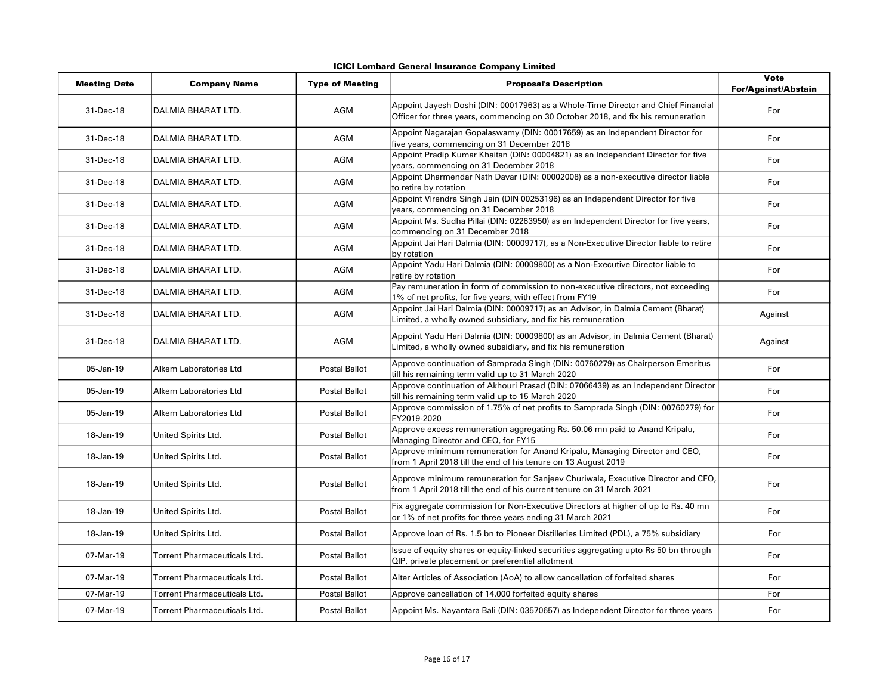|  | ICICI Lombard General Insurance Company Limited |  |  |
|--|-------------------------------------------------|--|--|
|--|-------------------------------------------------|--|--|

| <b>Meeting Date</b> | <b>Company Name</b>                 | <b>Type of Meeting</b> | <b>Proposal's Description</b>                                                                                                                                         | <b>Vote</b><br><b>For/Against/Abstain</b> |
|---------------------|-------------------------------------|------------------------|-----------------------------------------------------------------------------------------------------------------------------------------------------------------------|-------------------------------------------|
| 31-Dec-18           | DALMIA BHARAT LTD.                  | AGM                    | Appoint Jayesh Doshi (DIN: 00017963) as a Whole-Time Director and Chief Financial<br>Officer for three years, commencing on 30 October 2018, and fix his remuneration | For                                       |
| 31-Dec-18           | DALMIA BHARAT LTD.                  | AGM                    | Appoint Nagarajan Gopalaswamy (DIN: 00017659) as an Independent Director for<br>five years, commencing on 31 December 2018                                            | For                                       |
| 31-Dec-18           | DALMIA BHARAT LTD.                  | AGM                    | Appoint Pradip Kumar Khaitan (DIN: 00004821) as an Independent Director for five<br>years, commencing on 31 December 2018                                             | For                                       |
| 31-Dec-18           | DALMIA BHARAT LTD.                  | AGM                    | Appoint Dharmendar Nath Davar (DIN: 00002008) as a non-executive director liable<br>to retire by rotation                                                             | For                                       |
| 31-Dec-18           | DALMIA BHARAT LTD.                  | <b>AGM</b>             | Appoint Virendra Singh Jain (DIN 00253196) as an Independent Director for five<br>years, commencing on 31 December 2018                                               | For                                       |
| 31-Dec-18           | DALMIA BHARAT LTD.                  | AGM                    | Appoint Ms. Sudha Pillai (DIN: 02263950) as an Independent Director for five years,<br>commencing on 31 December 2018                                                 | For                                       |
| 31-Dec-18           | DALMIA BHARAT LTD.                  | AGM                    | Appoint Jai Hari Dalmia (DIN: 00009717), as a Non-Executive Director liable to retire<br>by rotation                                                                  | For                                       |
| 31-Dec-18           | DALMIA BHARAT LTD.                  | AGM                    | Appoint Yadu Hari Dalmia (DIN: 00009800) as a Non-Executive Director liable to<br>retire by rotation                                                                  | For                                       |
| 31-Dec-18           | DALMIA BHARAT LTD.                  | AGM                    | Pay remuneration in form of commission to non-executive directors, not exceeding<br>1% of net profits, for five years, with effect from FY19                          | For                                       |
| 31-Dec-18           | DALMIA BHARAT LTD.                  | AGM                    | Appoint Jai Hari Dalmia (DIN: 00009717) as an Advisor, in Dalmia Cement (Bharat)<br>Limited, a wholly owned subsidiary, and fix his remuneration                      | Against                                   |
| 31-Dec-18           | DALMIA BHARAT LTD.                  | AGM                    | Appoint Yadu Hari Dalmia (DIN: 00009800) as an Advisor, in Dalmia Cement (Bharat)<br>Limited, a wholly owned subsidiary, and fix his remuneration                     | Against                                   |
| 05-Jan-19           | Alkem Laboratories Ltd              | <b>Postal Ballot</b>   | Approve continuation of Samprada Singh (DIN: 00760279) as Chairperson Emeritus<br>till his remaining term valid up to 31 March 2020                                   | For                                       |
| 05-Jan-19           | Alkem Laboratories Ltd              | <b>Postal Ballot</b>   | Approve continuation of Akhouri Prasad (DIN: 07066439) as an Independent Director<br>till his remaining term valid up to 15 March 2020                                | For                                       |
| 05-Jan-19           | Alkem Laboratories Ltd              | <b>Postal Ballot</b>   | Approve commission of 1.75% of net profits to Samprada Singh (DIN: 00760279) for<br>FY2019-2020                                                                       | For                                       |
| 18-Jan-19           | United Spirits Ltd.                 | <b>Postal Ballot</b>   | Approve excess remuneration aggregating Rs. 50.06 mn paid to Anand Kripalu,<br>Managing Director and CEO, for FY15                                                    | For                                       |
| 18-Jan-19           | United Spirits Ltd.                 | <b>Postal Ballot</b>   | Approve minimum remuneration for Anand Kripalu, Managing Director and CEO,<br>from 1 April 2018 till the end of his tenure on 13 August 2019                          | For                                       |
| 18-Jan-19           | United Spirits Ltd.                 | <b>Postal Ballot</b>   | Approve minimum remuneration for Sanjeev Churiwala, Executive Director and CFO,<br>from 1 April 2018 till the end of his current tenure on 31 March 2021              | For                                       |
| 18-Jan-19           | United Spirits Ltd.                 | <b>Postal Ballot</b>   | Fix aggregate commission for Non-Executive Directors at higher of up to Rs. 40 mn<br>or 1% of net profits for three years ending 31 March 2021                        | For                                       |
| 18-Jan-19           | United Spirits Ltd.                 | <b>Postal Ballot</b>   | Approve loan of Rs. 1.5 bn to Pioneer Distilleries Limited (PDL), a 75% subsidiary                                                                                    | For                                       |
| 07-Mar-19           | Torrent Pharmaceuticals Ltd.        | <b>Postal Ballot</b>   | Issue of equity shares or equity-linked securities aggregating upto Rs 50 bn through<br>QIP, private placement or preferential allotment                              | For                                       |
| 07-Mar-19           | <b>Torrent Pharmaceuticals Ltd.</b> | <b>Postal Ballot</b>   | Alter Articles of Association (AoA) to allow cancellation of forfeited shares                                                                                         | For                                       |
| 07-Mar-19           | Torrent Pharmaceuticals Ltd.        | <b>Postal Ballot</b>   | Approve cancellation of 14,000 forfeited equity shares                                                                                                                | For                                       |
| 07-Mar-19           | Torrent Pharmaceuticals Ltd.        | <b>Postal Ballot</b>   | Appoint Ms. Nayantara Bali (DIN: 03570657) as Independent Director for three years                                                                                    | For                                       |